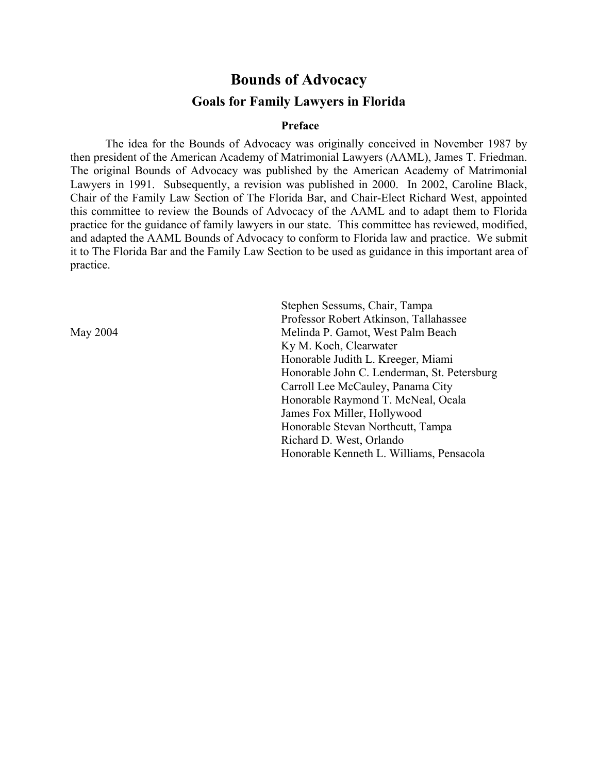# **Bounds of Advocacy Goals for Family Lawyers in Florida**

#### **Preface**

The idea for the Bounds of Advocacy was originally conceived in November 1987 by then president of the American Academy of Matrimonial Lawyers (AAML), James T. Friedman. The original Bounds of Advocacy was published by the American Academy of Matrimonial Lawyers in 1991. Subsequently, a revision was published in 2000. In 2002, Caroline Black, Chair of the Family Law Section of The Florida Bar, and Chair-Elect Richard West, appointed this committee to review the Bounds of Advocacy of the AAML and to adapt them to Florida practice for the guidance of family lawyers in our state. This committee has reviewed, modified, and adapted the AAML Bounds of Advocacy to conform to Florida law and practice. We submit it to The Florida Bar and the Family Law Section to be used as guidance in this important area of practice.

Stephen Sessums, Chair, Tampa Professor Robert Atkinson, Tallahassee May 2004 Melinda P. Gamot, West Palm Beach Ky M. Koch, Clearwater Honorable Judith L. Kreeger, Miami Honorable John C. Lenderman, St. Petersburg Carroll Lee McCauley, Panama City Honorable Raymond T. McNeal, Ocala James Fox Miller, Hollywood Honorable Stevan Northcutt, Tampa Richard D. West, Orlando Honorable Kenneth L. Williams, Pensacola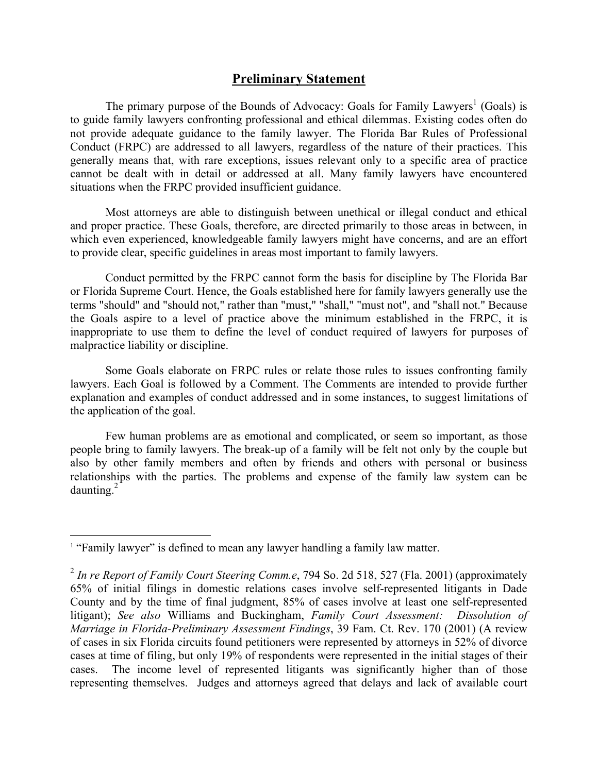# **Preliminary Statement**

The primary purpose of the Bounds of Advocacy: Goals for Family Lawyers<sup>1</sup> (Goals) is to guide family lawyers confronting professional and ethical dilemmas. Existing codes often do not provide adequate guidance to the family lawyer. The Florida Bar Rules of Professional Conduct (FRPC) are addressed to all lawyers, regardless of the nature of their practices. This generally means that, with rare exceptions, issues relevant only to a specific area of practice cannot be dealt with in detail or addressed at all. Many family lawyers have encountered situations when the FRPC provided insufficient guidance.

Most attorneys are able to distinguish between unethical or illegal conduct and ethical and proper practice. These Goals, therefore, are directed primarily to those areas in between, in which even experienced, knowledgeable family lawyers might have concerns, and are an effort to provide clear, specific guidelines in areas most important to family lawyers.

Conduct permitted by the FRPC cannot form the basis for discipline by The Florida Bar or Florida Supreme Court. Hence, the Goals established here for family lawyers generally use the terms "should" and "should not," rather than "must," "shall," "must not", and "shall not." Because the Goals aspire to a level of practice above the minimum established in the FRPC, it is inappropriate to use them to define the level of conduct required of lawyers for purposes of malpractice liability or discipline.

Some Goals elaborate on FRPC rules or relate those rules to issues confronting family lawyers. Each Goal is followed by a Comment. The Comments are intended to provide further explanation and examples of conduct addressed and in some instances, to suggest limitations of the application of the goal.

Few human problems are as emotional and complicated, or seem so important, as those people bring to family lawyers. The break-up of a family will be felt not only by the couple but also by other family members and often by friends and others with personal or business relationships with the parties. The problems and expense of the family law system can be daunting. $2^{2}$ 

<sup>&</sup>lt;sup>1</sup> "Family lawyer" is defined to mean any lawyer handling a family law matter.

<sup>2</sup> *In re Report of Family Court Steering Comm.e*, 794 So. 2d 518, 527 (Fla. 2001) (approximately 65% of initial filings in domestic relations cases involve self-represented litigants in Dade County and by the time of final judgment, 85% of cases involve at least one self-represented litigant); *See also* Williams and Buckingham, *Family Court Assessment: Dissolution of Marriage in Florida-Preliminary Assessment Findings*, 39 Fam. Ct. Rev. 170 (2001) (A review of cases in six Florida circuits found petitioners were represented by attorneys in 52% of divorce cases at time of filing, but only 19% of respondents were represented in the initial stages of their cases. The income level of represented litigants was significantly higher than of those representing themselves. Judges and attorneys agreed that delays and lack of available court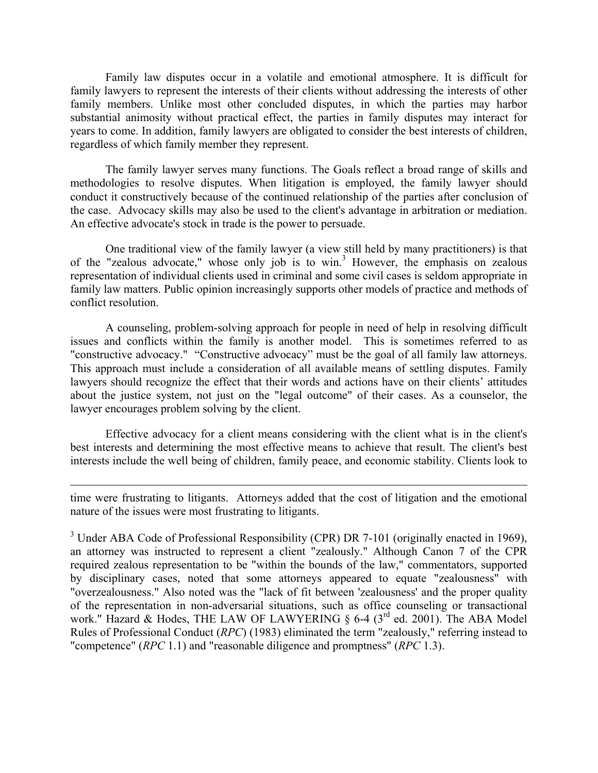Family law disputes occur in a volatile and emotional atmosphere. It is difficult for family lawyers to represent the interests of their clients without addressing the interests of other family members. Unlike most other concluded disputes, in which the parties may harbor substantial animosity without practical effect, the parties in family disputes may interact for years to come. In addition, family lawyers are obligated to consider the best interests of children, regardless of which family member they represent.

The family lawyer serves many functions. The Goals reflect a broad range of skills and methodologies to resolve disputes. When litigation is employed, the family lawyer should conduct it constructively because of the continued relationship of the parties after conclusion of the case. Advocacy skills may also be used to the client's advantage in arbitration or mediation. An effective advocate's stock in trade is the power to persuade.

One traditional view of the family lawyer (a view still held by many practitioners) is that of the "zealous advocate," whose only job is to win.<sup>3</sup> However, the emphasis on zealous representation of individual clients used in criminal and some civil cases is seldom appropriate in family law matters. Public opinion increasingly supports other models of practice and methods of conflict resolution.

A counseling, problem-solving approach for people in need of help in resolving difficult issues and conflicts within the family is another model. This is sometimes referred to as "constructive advocacy." "Constructive advocacy" must be the goal of all family law attorneys. This approach must include a consideration of all available means of settling disputes. Family lawyers should recognize the effect that their words and actions have on their clients' attitudes about the justice system, not just on the "legal outcome" of their cases. As a counselor, the lawyer encourages problem solving by the client.

Effective advocacy for a client means considering with the client what is in the client's best interests and determining the most effective means to achieve that result. The client's best interests include the well being of children, family peace, and economic stability. Clients look to

time were frustrating to litigants. Attorneys added that the cost of litigation and the emotional nature of the issues were most frustrating to litigants.

 $\overline{a}$ 

 $3$  Under ABA Code of Professional Responsibility (CPR) DR 7-101 (originally enacted in 1969), an attorney was instructed to represent a client "zealously." Although Canon 7 of the CPR required zealous representation to be "within the bounds of the law," commentators, supported by disciplinary cases, noted that some attorneys appeared to equate "zealousness" with "overzealousness." Also noted was the "lack of fit between 'zealousness' and the proper quality of the representation in non-adversarial situations, such as office counseling or transactional work." Hazard & Hodes, THE LAW OF LAWYERING  $\S$  6-4 (3<sup>rd</sup> ed. 2001). The ABA Model Rules of Professional Conduct (*RPC*) (1983) eliminated the term "zealously," referring instead to "competence" (*RPC* 1.1) and "reasonable diligence and promptness" (*RPC* 1.3).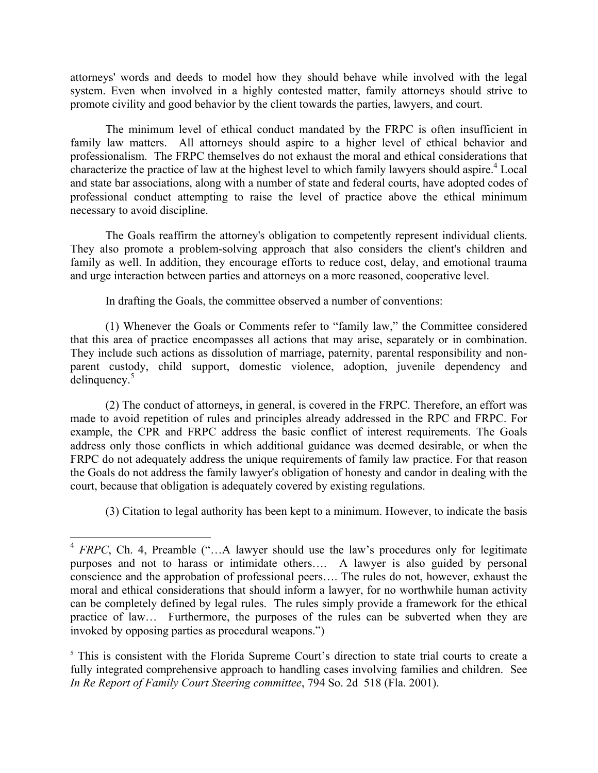attorneys' words and deeds to model how they should behave while involved with the legal system. Even when involved in a highly contested matter, family attorneys should strive to promote civility and good behavior by the client towards the parties, lawyers, and court.

The minimum level of ethical conduct mandated by the FRPC is often insufficient in family law matters. All attorneys should aspire to a higher level of ethical behavior and professionalism. The FRPC themselves do not exhaust the moral and ethical considerations that characterize the practice of law at the highest level to which family lawyers should aspire.<sup>4</sup> Local and state bar associations, along with a number of state and federal courts, have adopted codes of professional conduct attempting to raise the level of practice above the ethical minimum necessary to avoid discipline.

The Goals reaffirm the attorney's obligation to competently represent individual clients. They also promote a problem-solving approach that also considers the client's children and family as well. In addition, they encourage efforts to reduce cost, delay, and emotional trauma and urge interaction between parties and attorneys on a more reasoned, cooperative level.

In drafting the Goals, the committee observed a number of conventions:

(1) Whenever the Goals or Comments refer to "family law," the Committee considered that this area of practice encompasses all actions that may arise, separately or in combination. They include such actions as dissolution of marriage, paternity, parental responsibility and nonparent custody, child support, domestic violence, adoption, juvenile dependency and delinquency.<sup>5</sup>

(2) The conduct of attorneys, in general, is covered in the FRPC. Therefore, an effort was made to avoid repetition of rules and principles already addressed in the RPC and FRPC. For example, the CPR and FRPC address the basic conflict of interest requirements. The Goals address only those conflicts in which additional guidance was deemed desirable, or when the FRPC do not adequately address the unique requirements of family law practice. For that reason the Goals do not address the family lawyer's obligation of honesty and candor in dealing with the court, because that obligation is adequately covered by existing regulations.

(3) Citation to legal authority has been kept to a minimum. However, to indicate the basis

 $4$  *FRPC*, Ch. 4, Preamble ("...A lawyer should use the law's procedures only for legitimate purposes and not to harass or intimidate others…. A lawyer is also guided by personal conscience and the approbation of professional peers…. The rules do not, however, exhaust the moral and ethical considerations that should inform a lawyer, for no worthwhile human activity can be completely defined by legal rules. The rules simply provide a framework for the ethical practice of law… Furthermore, the purposes of the rules can be subverted when they are invoked by opposing parties as procedural weapons.")

<sup>&</sup>lt;sup>5</sup> This is consistent with the Florida Supreme Court's direction to state trial courts to create a fully integrated comprehensive approach to handling cases involving families and children. See *In Re Report of Family Court Steering committee*, 794 So. 2d 518 (Fla. 2001).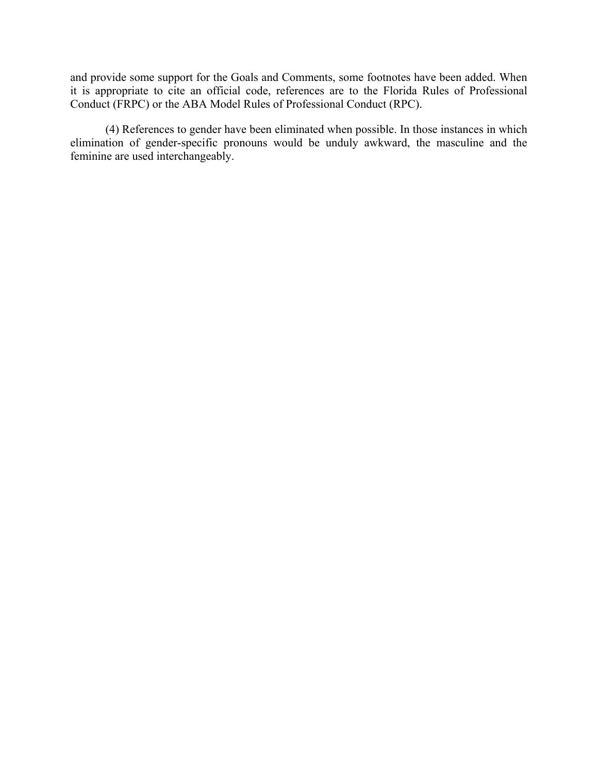and provide some support for the Goals and Comments, some footnotes have been added. When it is appropriate to cite an official code, references are to the Florida Rules of Professional Conduct (FRPC) or the ABA Model Rules of Professional Conduct (RPC).

 (4) References to gender have been eliminated when possible. In those instances in which elimination of gender-specific pronouns would be unduly awkward, the masculine and the feminine are used interchangeably.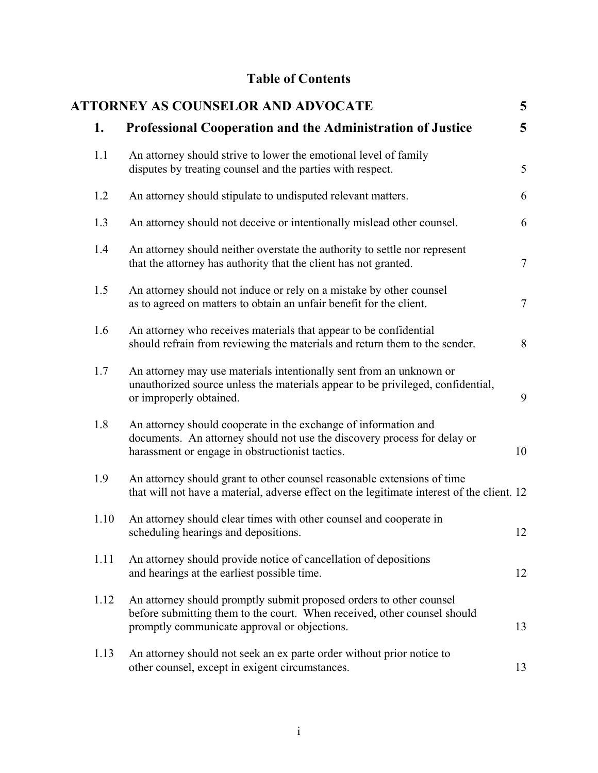# **Table of Contents**

|      | <b>ATTORNEY AS COUNSELOR AND ADVOCATE</b>                                                                                                                                                       | 5              |
|------|-------------------------------------------------------------------------------------------------------------------------------------------------------------------------------------------------|----------------|
| 1.   | <b>Professional Cooperation and the Administration of Justice</b>                                                                                                                               | 5 <sup>5</sup> |
| 1.1  | An attorney should strive to lower the emotional level of family<br>disputes by treating counsel and the parties with respect.                                                                  | 5              |
| 1.2  | An attorney should stipulate to undisputed relevant matters.                                                                                                                                    | 6              |
| 1.3  | An attorney should not deceive or intentionally mislead other counsel.                                                                                                                          | 6              |
| 1.4  | An attorney should neither overstate the authority to settle nor represent<br>that the attorney has authority that the client has not granted.                                                  | $\overline{7}$ |
| 1.5  | An attorney should not induce or rely on a mistake by other counsel<br>as to agreed on matters to obtain an unfair benefit for the client.                                                      | $\tau$         |
| 1.6  | An attorney who receives materials that appear to be confidential<br>should refrain from reviewing the materials and return them to the sender.                                                 | 8              |
| 1.7  | An attorney may use materials intentionally sent from an unknown or<br>unauthorized source unless the materials appear to be privileged, confidential,<br>or improperly obtained.               | 9              |
| 1.8  | An attorney should cooperate in the exchange of information and<br>documents. An attorney should not use the discovery process for delay or<br>harassment or engage in obstructionist tactics.  | 10             |
| 1.9  | An attorney should grant to other counsel reasonable extensions of time<br>that will not have a material, adverse effect on the legitimate interest of the client. 12                           |                |
| 1.10 | An attorney should clear times with other counsel and cooperate in<br>scheduling hearings and depositions.                                                                                      | 12             |
| 1.11 | An attorney should provide notice of cancellation of depositions<br>and hearings at the earliest possible time.                                                                                 | 12             |
| 1.12 | An attorney should promptly submit proposed orders to other counsel<br>before submitting them to the court. When received, other counsel should<br>promptly communicate approval or objections. | 13             |
| 1.13 | An attorney should not seek an ex parte order without prior notice to<br>other counsel, except in exigent circumstances.                                                                        | 13             |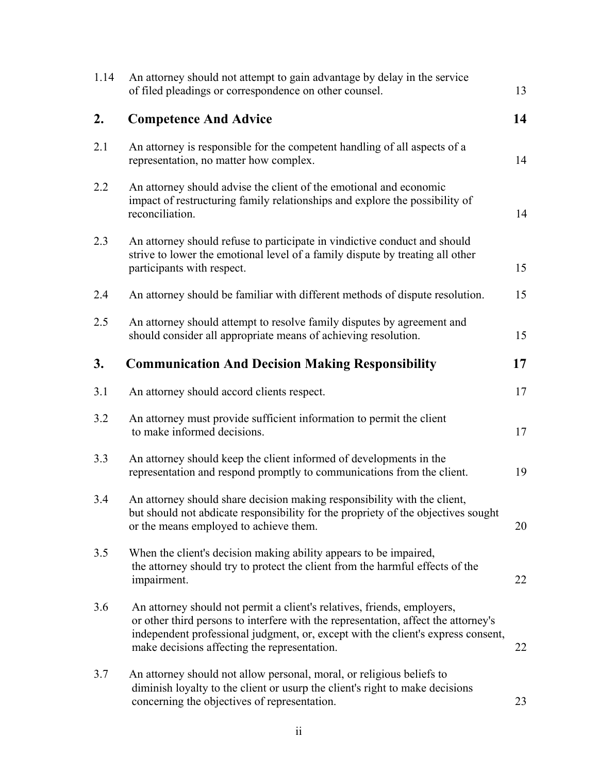| 1.14 | An attorney should not attempt to gain advantage by delay in the service<br>of filed pleadings or correspondence on other counsel.                                                                                                                                                                | 13 |
|------|---------------------------------------------------------------------------------------------------------------------------------------------------------------------------------------------------------------------------------------------------------------------------------------------------|----|
| 2.   | <b>Competence And Advice</b>                                                                                                                                                                                                                                                                      | 14 |
| 2.1  | An attorney is responsible for the competent handling of all aspects of a<br>representation, no matter how complex.                                                                                                                                                                               | 14 |
| 2.2  | An attorney should advise the client of the emotional and economic<br>impact of restructuring family relationships and explore the possibility of<br>reconciliation.                                                                                                                              | 14 |
| 2.3  | An attorney should refuse to participate in vindictive conduct and should<br>strive to lower the emotional level of a family dispute by treating all other<br>participants with respect.                                                                                                          | 15 |
| 2.4  | An attorney should be familiar with different methods of dispute resolution.                                                                                                                                                                                                                      | 15 |
| 2.5  | An attorney should attempt to resolve family disputes by agreement and<br>should consider all appropriate means of achieving resolution.                                                                                                                                                          | 15 |
| 3.   | <b>Communication And Decision Making Responsibility</b>                                                                                                                                                                                                                                           | 17 |
| 3.1  | An attorney should accord clients respect.                                                                                                                                                                                                                                                        | 17 |
| 3.2  | An attorney must provide sufficient information to permit the client<br>to make informed decisions.                                                                                                                                                                                               | 17 |
| 3.3  | An attorney should keep the client informed of developments in the<br>representation and respond promptly to communications from the client.                                                                                                                                                      | 19 |
| 3.4  | An attorney should share decision making responsibility with the client,<br>but should not abdicate responsibility for the propriety of the objectives sought<br>or the means employed to achieve them.                                                                                           | 20 |
| 3.5  | When the client's decision making ability appears to be impaired,<br>the attorney should try to protect the client from the harmful effects of the<br>impairment.                                                                                                                                 | 22 |
| 3.6  | An attorney should not permit a client's relatives, friends, employers,<br>or other third persons to interfere with the representation, affect the attorney's<br>independent professional judgment, or, except with the client's express consent,<br>make decisions affecting the representation. | 22 |
| 3.7  | An attorney should not allow personal, moral, or religious beliefs to<br>diminish loyalty to the client or usurp the client's right to make decisions<br>concerning the objectives of representation.                                                                                             | 23 |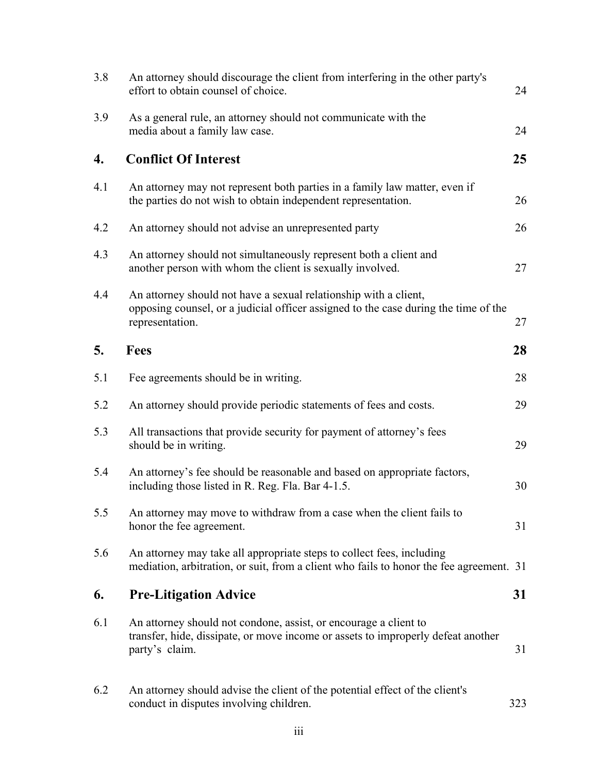| 3.8 | An attorney should discourage the client from interfering in the other party's<br>effort to obtain counsel of choice.                                                      | 24  |
|-----|----------------------------------------------------------------------------------------------------------------------------------------------------------------------------|-----|
| 3.9 | As a general rule, an attorney should not communicate with the<br>media about a family law case.                                                                           | 24  |
| 4.  | <b>Conflict Of Interest</b>                                                                                                                                                | 25  |
| 4.1 | An attorney may not represent both parties in a family law matter, even if<br>the parties do not wish to obtain independent representation.                                | 26  |
| 4.2 | An attorney should not advise an unrepresented party                                                                                                                       | 26  |
| 4.3 | An attorney should not simultaneously represent both a client and<br>another person with whom the client is sexually involved.                                             | 27  |
| 4.4 | An attorney should not have a sexual relationship with a client,<br>opposing counsel, or a judicial officer assigned to the case during the time of the<br>representation. | 27  |
| 5.  | <b>Fees</b>                                                                                                                                                                | 28  |
| 5.1 | Fee agreements should be in writing.                                                                                                                                       | 28  |
| 5.2 | An attorney should provide periodic statements of fees and costs.                                                                                                          | 29  |
| 5.3 | All transactions that provide security for payment of attorney's fees<br>should be in writing.                                                                             | 29  |
| 5.4 | An attorney's fee should be reasonable and based on appropriate factors,<br>including those listed in R. Reg. Fla. Bar 4-1.5.                                              | 30  |
| 5.5 | An attorney may move to withdraw from a case when the client fails to<br>honor the fee agreement.                                                                          | 31  |
| 5.6 | An attorney may take all appropriate steps to collect fees, including<br>mediation, arbitration, or suit, from a client who fails to honor the fee agreement. 31           |     |
| 6.  | <b>Pre-Litigation Advice</b>                                                                                                                                               | 31  |
| 6.1 | An attorney should not condone, assist, or encourage a client to<br>transfer, hide, dissipate, or move income or assets to improperly defeat another<br>party's claim.     | 31  |
| 6.2 | An attorney should advise the client of the potential effect of the client's<br>conduct in disputes involving children.                                                    | 323 |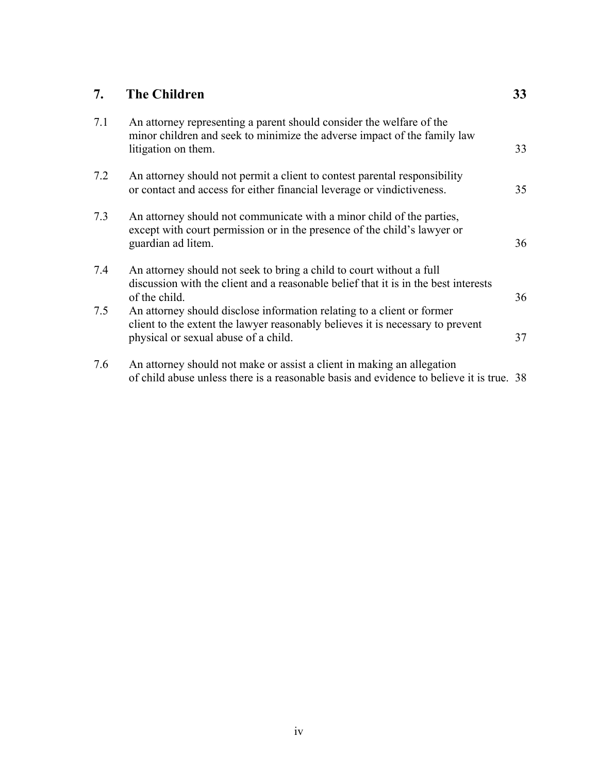| 7.  | <b>The Children</b>                                                                                                                                                                              | 33 |
|-----|--------------------------------------------------------------------------------------------------------------------------------------------------------------------------------------------------|----|
| 7.1 | An attorney representing a parent should consider the welfare of the<br>minor children and seek to minimize the adverse impact of the family law<br>litigation on them.                          | 33 |
| 7.2 | An attorney should not permit a client to contest parental responsibility<br>or contact and access for either financial leverage or vindictiveness.                                              | 35 |
| 7.3 | An attorney should not communicate with a minor child of the parties,<br>except with court permission or in the presence of the child's lawyer or<br>guardian ad litem.                          | 36 |
| 7.4 | An attorney should not seek to bring a child to court without a full<br>discussion with the client and a reasonable belief that it is in the best interests<br>of the child.                     | 36 |
| 7.5 | An attorney should disclose information relating to a client or former<br>client to the extent the lawyer reasonably believes it is necessary to prevent<br>physical or sexual abuse of a child. | 37 |

7.6 An attorney should not make or assist a client in making an allegation of child abuse unless there is a reasonable basis and evidence to believe it is true. 38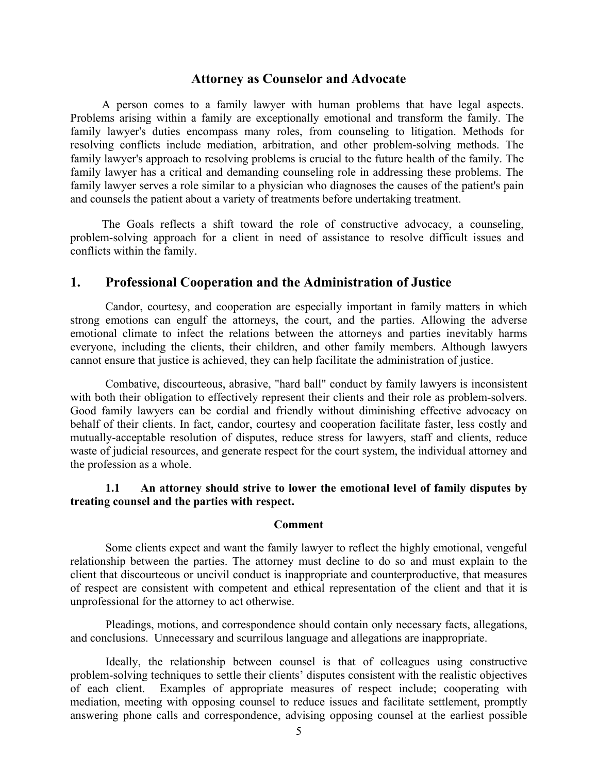### **Attorney as Counselor and Advocate**

A person comes to a family lawyer with human problems that have legal aspects. Problems arising within a family are exceptionally emotional and transform the family. The family lawyer's duties encompass many roles, from counseling to litigation. Methods for resolving conflicts include mediation, arbitration, and other problem-solving methods. The family lawyer's approach to resolving problems is crucial to the future health of the family. The family lawyer has a critical and demanding counseling role in addressing these problems. The family lawyer serves a role similar to a physician who diagnoses the causes of the patient's pain and counsels the patient about a variety of treatments before undertaking treatment.

The Goals reflects a shift toward the role of constructive advocacy, a counseling, problem-solving approach for a client in need of assistance to resolve difficult issues and conflicts within the family.

### **1. Professional Cooperation and the Administration of Justice**

 Candor, courtesy, and cooperation are especially important in family matters in which strong emotions can engulf the attorneys, the court, and the parties. Allowing the adverse emotional climate to infect the relations between the attorneys and parties inevitably harms everyone, including the clients, their children, and other family members. Although lawyers cannot ensure that justice is achieved, they can help facilitate the administration of justice.

 Combative, discourteous, abrasive, "hard ball" conduct by family lawyers is inconsistent with both their obligation to effectively represent their clients and their role as problem-solvers. Good family lawyers can be cordial and friendly without diminishing effective advocacy on behalf of their clients. In fact, candor, courtesy and cooperation facilitate faster, less costly and mutually-acceptable resolution of disputes, reduce stress for lawyers, staff and clients, reduce waste of judicial resources, and generate respect for the court system, the individual attorney and the profession as a whole.

# **1.1 An attorney should strive to lower the emotional level of family disputes by treating counsel and the parties with respect.**

#### **Comment**

Some clients expect and want the family lawyer to reflect the highly emotional, vengeful relationship between the parties. The attorney must decline to do so and must explain to the client that discourteous or uncivil conduct is inappropriate and counterproductive, that measures of respect are consistent with competent and ethical representation of the client and that it is unprofessional for the attorney to act otherwise.

Pleadings, motions, and correspondence should contain only necessary facts, allegations, and conclusions. Unnecessary and scurrilous language and allegations are inappropriate.

Ideally, the relationship between counsel is that of colleagues using constructive problem-solving techniques to settle their clients' disputes consistent with the realistic objectives of each client. Examples of appropriate measures of respect include; cooperating with mediation, meeting with opposing counsel to reduce issues and facilitate settlement, promptly answering phone calls and correspondence, advising opposing counsel at the earliest possible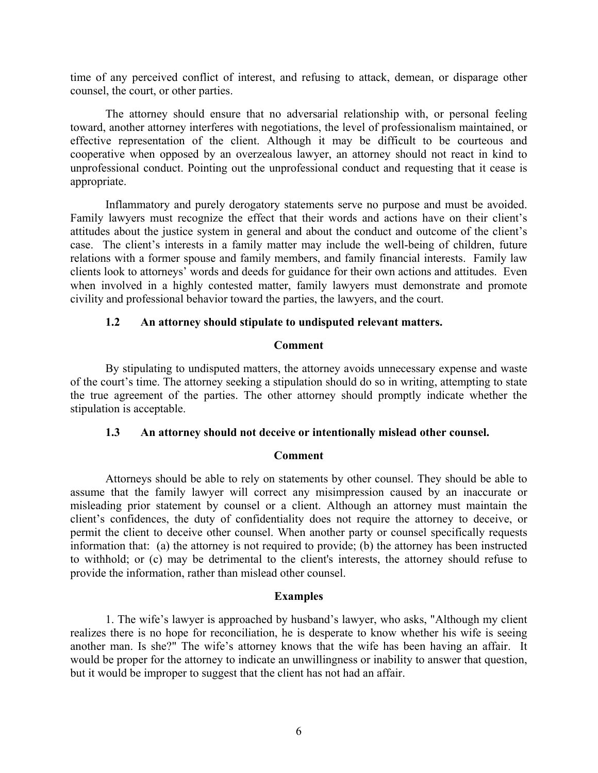time of any perceived conflict of interest, and refusing to attack, demean, or disparage other counsel, the court, or other parties.

 The attorney should ensure that no adversarial relationship with, or personal feeling toward, another attorney interferes with negotiations, the level of professionalism maintained, or effective representation of the client. Although it may be difficult to be courteous and cooperative when opposed by an overzealous lawyer, an attorney should not react in kind to unprofessional conduct. Pointing out the unprofessional conduct and requesting that it cease is appropriate.

 Inflammatory and purely derogatory statements serve no purpose and must be avoided. Family lawyers must recognize the effect that their words and actions have on their client's attitudes about the justice system in general and about the conduct and outcome of the client's case. The client's interests in a family matter may include the well-being of children, future relations with a former spouse and family members, and family financial interests. Family law clients look to attorneys' words and deeds for guidance for their own actions and attitudes. Even when involved in a highly contested matter, family lawyers must demonstrate and promote civility and professional behavior toward the parties, the lawyers, and the court.

#### **1.2 An attorney should stipulate to undisputed relevant matters.**

#### **Comment**

By stipulating to undisputed matters, the attorney avoids unnecessary expense and waste of the court's time. The attorney seeking a stipulation should do so in writing, attempting to state the true agreement of the parties. The other attorney should promptly indicate whether the stipulation is acceptable.

#### **1.3 An attorney should not deceive or intentionally mislead other counsel.**

#### **Comment**

Attorneys should be able to rely on statements by other counsel. They should be able to assume that the family lawyer will correct any misimpression caused by an inaccurate or misleading prior statement by counsel or a client. Although an attorney must maintain the client's confidences, the duty of confidentiality does not require the attorney to deceive, or permit the client to deceive other counsel. When another party or counsel specifically requests information that: (a) the attorney is not required to provide; (b) the attorney has been instructed to withhold; or (c) may be detrimental to the client's interests, the attorney should refuse to provide the information, rather than mislead other counsel.

#### **Examples**

1. The wife's lawyer is approached by husband's lawyer, who asks, "Although my client realizes there is no hope for reconciliation, he is desperate to know whether his wife is seeing another man. Is she?" The wife's attorney knows that the wife has been having an affair. It would be proper for the attorney to indicate an unwillingness or inability to answer that question, but it would be improper to suggest that the client has not had an affair.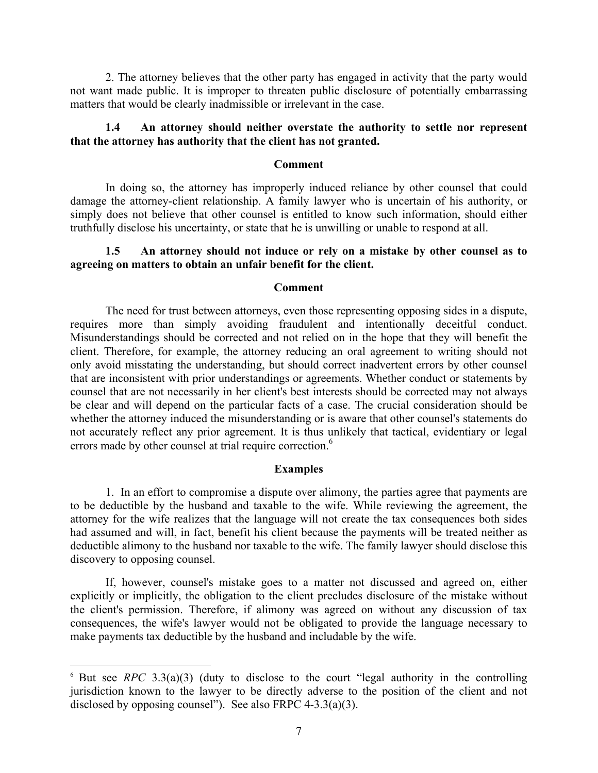2. The attorney believes that the other party has engaged in activity that the party would not want made public. It is improper to threaten public disclosure of potentially embarrassing matters that would be clearly inadmissible or irrelevant in the case.

# **1.4 An attorney should neither overstate the authority to settle nor represent that the attorney has authority that the client has not granted.**

#### **Comment**

In doing so, the attorney has improperly induced reliance by other counsel that could damage the attorney-client relationship. A family lawyer who is uncertain of his authority, or simply does not believe that other counsel is entitled to know such information, should either truthfully disclose his uncertainty, or state that he is unwilling or unable to respond at all.

### **1.5 An attorney should not induce or rely on a mistake by other counsel as to agreeing on matters to obtain an unfair benefit for the client.**

#### **Comment**

The need for trust between attorneys, even those representing opposing sides in a dispute, requires more than simply avoiding fraudulent and intentionally deceitful conduct. Misunderstandings should be corrected and not relied on in the hope that they will benefit the client. Therefore, for example, the attorney reducing an oral agreement to writing should not only avoid misstating the understanding, but should correct inadvertent errors by other counsel that are inconsistent with prior understandings or agreements. Whether conduct or statements by counsel that are not necessarily in her client's best interests should be corrected may not always be clear and will depend on the particular facts of a case. The crucial consideration should be whether the attorney induced the misunderstanding or is aware that other counsel's statements do not accurately reflect any prior agreement. It is thus unlikely that tactical, evidentiary or legal errors made by other counsel at trial require correction.<sup>6</sup>

#### **Examples**

1. In an effort to compromise a dispute over alimony, the parties agree that payments are to be deductible by the husband and taxable to the wife. While reviewing the agreement, the attorney for the wife realizes that the language will not create the tax consequences both sides had assumed and will, in fact, benefit his client because the payments will be treated neither as deductible alimony to the husband nor taxable to the wife. The family lawyer should disclose this discovery to opposing counsel.

If, however, counsel's mistake goes to a matter not discussed and agreed on, either explicitly or implicitly, the obligation to the client precludes disclosure of the mistake without the client's permission. Therefore, if alimony was agreed on without any discussion of tax consequences, the wife's lawyer would not be obligated to provide the language necessary to make payments tax deductible by the husband and includable by the wife.

 $6$  But see *RPC* 3.3(a)(3) (duty to disclose to the court "legal authority in the controlling jurisdiction known to the lawyer to be directly adverse to the position of the client and not disclosed by opposing counsel"). See also FRPC  $4-3.3(a)(3)$ .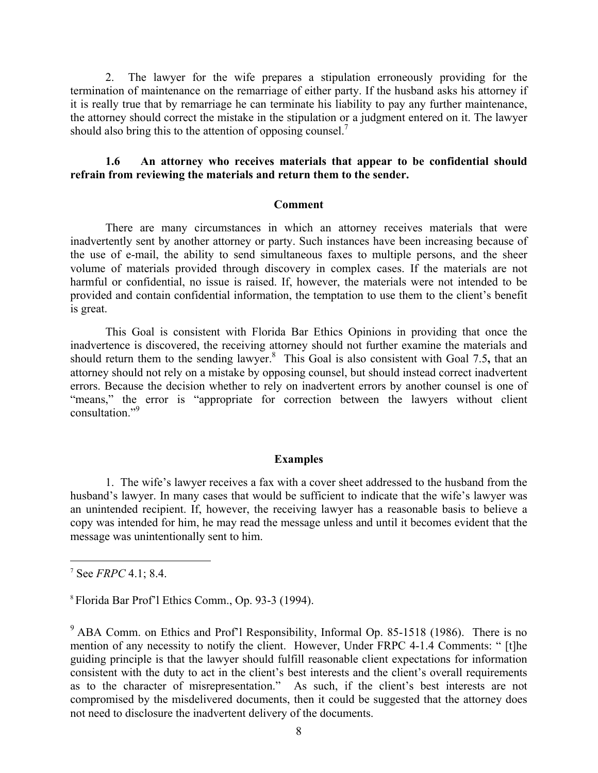2. The lawyer for the wife prepares a stipulation erroneously providing for the termination of maintenance on the remarriage of either party. If the husband asks his attorney if it is really true that by remarriage he can terminate his liability to pay any further maintenance, the attorney should correct the mistake in the stipulation or a judgment entered on it. The lawyer should also bring this to the attention of opposing counsel.<sup>7</sup>

### **1.6 An attorney who receives materials that appear to be confidential should refrain from reviewing the materials and return them to the sender.**

#### **Comment**

 There are many circumstances in which an attorney receives materials that were inadvertently sent by another attorney or party. Such instances have been increasing because of the use of e-mail, the ability to send simultaneous faxes to multiple persons, and the sheer volume of materials provided through discovery in complex cases. If the materials are not harmful or confidential, no issue is raised. If, however, the materials were not intended to be provided and contain confidential information, the temptation to use them to the client's benefit is great.

 This Goal is consistent with Florida Bar Ethics Opinions in providing that once the inadvertence is discovered, the receiving attorney should not further examine the materials and should return them to the sending lawyer.<sup>8</sup> This Goal is also consistent with Goal 7.5, that an attorney should not rely on a mistake by opposing counsel, but should instead correct inadvertent errors. Because the decision whether to rely on inadvertent errors by another counsel is one of "means," the error is "appropriate for correction between the lawyers without client consultation<sup>"9</sup>

#### **Examples**

 1. The wife's lawyer receives a fax with a cover sheet addressed to the husband from the husband's lawyer. In many cases that would be sufficient to indicate that the wife's lawyer was an unintended recipient. If, however, the receiving lawyer has a reasonable basis to believe a copy was intended for him, he may read the message unless and until it becomes evident that the message was unintentionally sent to him.

7 See *FRPC* 4.1; 8.4.

1

8 Florida Bar Prof'l Ethics Comm., Op. 93-3 (1994).

<sup>&</sup>lt;sup>9</sup> ABA Comm. on Ethics and Prof'l Responsibility, Informal Op. 85-1518 (1986). There is no mention of any necessity to notify the client. However, Under FRPC 4-1.4 Comments: " [t]he guiding principle is that the lawyer should fulfill reasonable client expectations for information consistent with the duty to act in the client's best interests and the client's overall requirements as to the character of misrepresentation." As such, if the client's best interests are not compromised by the misdelivered documents, then it could be suggested that the attorney does not need to disclosure the inadvertent delivery of the documents.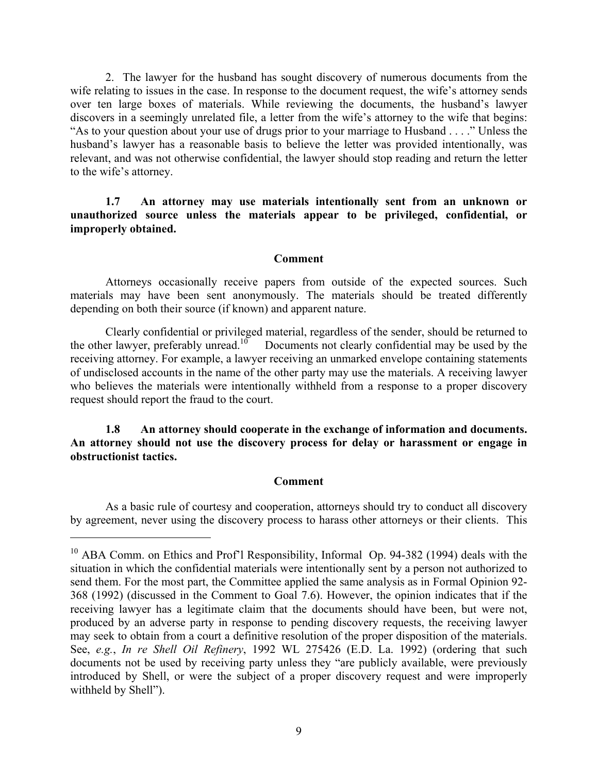2. The lawyer for the husband has sought discovery of numerous documents from the wife relating to issues in the case. In response to the document request, the wife's attorney sends over ten large boxes of materials. While reviewing the documents, the husband's lawyer discovers in a seemingly unrelated file, a letter from the wife's attorney to the wife that begins: "As to your question about your use of drugs prior to your marriage to Husband . . . ." Unless the husband's lawyer has a reasonable basis to believe the letter was provided intentionally, was relevant, and was not otherwise confidential, the lawyer should stop reading and return the letter to the wife's attorney.

**1.7 An attorney may use materials intentionally sent from an unknown or unauthorized source unless the materials appear to be privileged, confidential, or improperly obtained.** 

#### **Comment**

Attorneys occasionally receive papers from outside of the expected sources. Such materials may have been sent anonymously. The materials should be treated differently depending on both their source (if known) and apparent nature.

Clearly confidential or privileged material, regardless of the sender, should be returned to the other lawyer, preferably unread. $10^{\circ}$  Documents not clearly confidential may be used by the receiving attorney. For example, a lawyer receiving an unmarked envelope containing statements of undisclosed accounts in the name of the other party may use the materials. A receiving lawyer who believes the materials were intentionally withheld from a response to a proper discovery request should report the fraud to the court.

**1.8 An attorney should cooperate in the exchange of information and documents. An attorney should not use the discovery process for delay or harassment or engage in obstructionist tactics.**

# **Comment**

As a basic rule of courtesy and cooperation, attorneys should try to conduct all discovery by agreement, never using the discovery process to harass other attorneys or their clients. This

<sup>&</sup>lt;sup>10</sup> ABA Comm. on Ethics and Prof'l Responsibility, Informal Op. 94-382 (1994) deals with the situation in which the confidential materials were intentionally sent by a person not authorized to send them. For the most part, the Committee applied the same analysis as in Formal Opinion 92- 368 (1992) (discussed in the Comment to Goal 7.6). However, the opinion indicates that if the receiving lawyer has a legitimate claim that the documents should have been, but were not, produced by an adverse party in response to pending discovery requests, the receiving lawyer may seek to obtain from a court a definitive resolution of the proper disposition of the materials. See, *e.g.*, *In re Shell Oil Refinery*, 1992 WL 275426 (E.D. La. 1992) (ordering that such documents not be used by receiving party unless they "are publicly available, were previously introduced by Shell, or were the subject of a proper discovery request and were improperly withheld by Shell").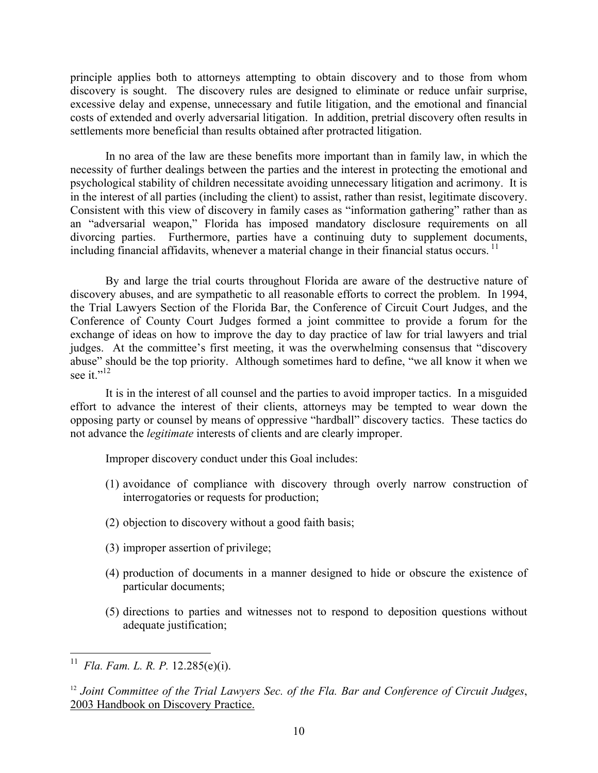principle applies both to attorneys attempting to obtain discovery and to those from whom discovery is sought. The discovery rules are designed to eliminate or reduce unfair surprise, excessive delay and expense, unnecessary and futile litigation, and the emotional and financial costs of extended and overly adversarial litigation. In addition, pretrial discovery often results in settlements more beneficial than results obtained after protracted litigation.

In no area of the law are these benefits more important than in family law, in which the necessity of further dealings between the parties and the interest in protecting the emotional and psychological stability of children necessitate avoiding unnecessary litigation and acrimony. It is in the interest of all parties (including the client) to assist, rather than resist, legitimate discovery. Consistent with this view of discovery in family cases as "information gathering" rather than as an "adversarial weapon," Florida has imposed mandatory disclosure requirements on all divorcing parties. Furthermore, parties have a continuing duty to supplement documents, including financial affidavits, whenever a material change in their financial status occurs.<sup>11</sup>

By and large the trial courts throughout Florida are aware of the destructive nature of discovery abuses, and are sympathetic to all reasonable efforts to correct the problem. In 1994, the Trial Lawyers Section of the Florida Bar, the Conference of Circuit Court Judges, and the Conference of County Court Judges formed a joint committee to provide a forum for the exchange of ideas on how to improve the day to day practice of law for trial lawyers and trial judges. At the committee's first meeting, it was the overwhelming consensus that "discovery abuse" should be the top priority. Although sometimes hard to define, "we all know it when we see it."<sup>12</sup>

It is in the interest of all counsel and the parties to avoid improper tactics. In a misguided effort to advance the interest of their clients, attorneys may be tempted to wear down the opposing party or counsel by means of oppressive "hardball" discovery tactics. These tactics do not advance the *legitimate* interests of clients and are clearly improper.

Improper discovery conduct under this Goal includes:

- (1) avoidance of compliance with discovery through overly narrow construction of interrogatories or requests for production;
- (2) objection to discovery without a good faith basis;
- (3) improper assertion of privilege;
- (4) production of documents in a manner designed to hide or obscure the existence of particular documents;
- (5) directions to parties and witnesses not to respond to deposition questions without adequate justification;

<sup>11</sup> *Fla. Fam. L. R. P.* 12.285(e)(i).

<sup>12</sup> *Joint Committee of the Trial Lawyers Sec. of the Fla. Bar and Conference of Circuit Judges*, 2003 Handbook on Discovery Practice.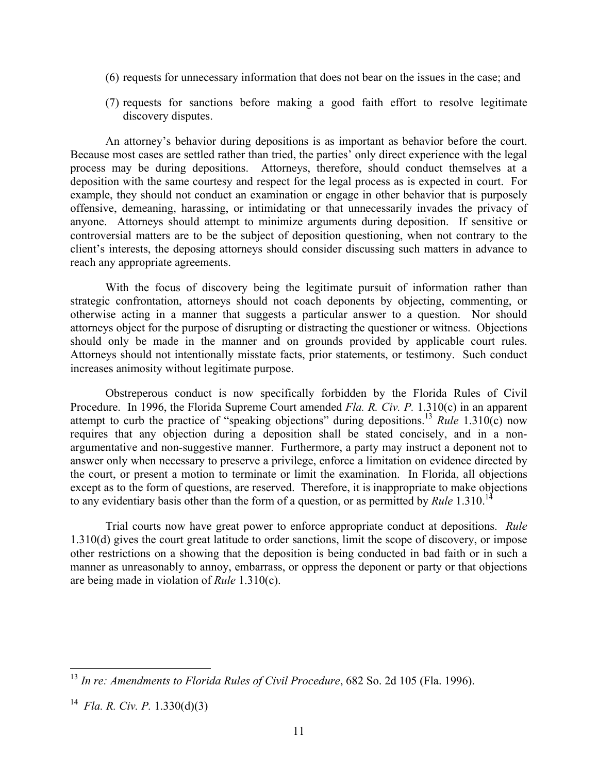- (6) requests for unnecessary information that does not bear on the issues in the case; and
- (7) requests for sanctions before making a good faith effort to resolve legitimate discovery disputes.

An attorney's behavior during depositions is as important as behavior before the court. Because most cases are settled rather than tried, the parties' only direct experience with the legal process may be during depositions. Attorneys, therefore, should conduct themselves at a deposition with the same courtesy and respect for the legal process as is expected in court. For example, they should not conduct an examination or engage in other behavior that is purposely offensive, demeaning, harassing, or intimidating or that unnecessarily invades the privacy of anyone. Attorneys should attempt to minimize arguments during deposition. If sensitive or controversial matters are to be the subject of deposition questioning, when not contrary to the client's interests, the deposing attorneys should consider discussing such matters in advance to reach any appropriate agreements.

With the focus of discovery being the legitimate pursuit of information rather than strategic confrontation, attorneys should not coach deponents by objecting, commenting, or otherwise acting in a manner that suggests a particular answer to a question. Nor should attorneys object for the purpose of disrupting or distracting the questioner or witness. Objections should only be made in the manner and on grounds provided by applicable court rules. Attorneys should not intentionally misstate facts, prior statements, or testimony. Such conduct increases animosity without legitimate purpose.

Obstreperous conduct is now specifically forbidden by the Florida Rules of Civil Procedure. In 1996, the Florida Supreme Court amended *Fla. R. Civ. P.* 1.310(c) in an apparent attempt to curb the practice of "speaking objections" during depositions.<sup>13</sup> *Rule* 1.310(c) now requires that any objection during a deposition shall be stated concisely, and in a nonargumentative and non-suggestive manner. Furthermore, a party may instruct a deponent not to answer only when necessary to preserve a privilege, enforce a limitation on evidence directed by the court, or present a motion to terminate or limit the examination. In Florida, all objections except as to the form of questions, are reserved. Therefore, it is inappropriate to make objections to any evidentiary basis other than the form of a question, or as permitted by *Rule* 1.310.<sup>14</sup>

Trial courts now have great power to enforce appropriate conduct at depositions. *Rule* 1.310(d) gives the court great latitude to order sanctions, limit the scope of discovery, or impose other restrictions on a showing that the deposition is being conducted in bad faith or in such a manner as unreasonably to annoy, embarrass, or oppress the deponent or party or that objections are being made in violation of *Rule* 1.310(c).

<sup>13</sup> *In re: Amendments to Florida Rules of Civil Procedure*, 682 So. 2d 105 (Fla. 1996).

<sup>14</sup> *Fla. R. Civ. P.* 1.330(d)(3)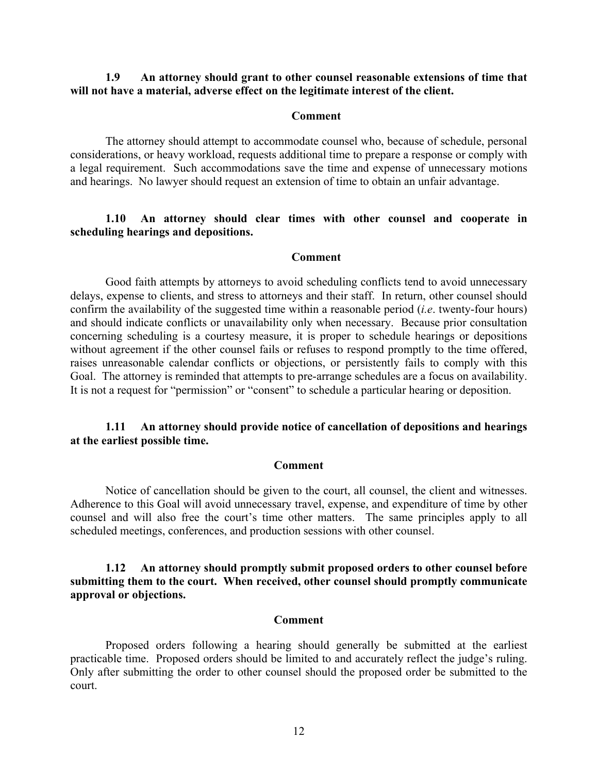### **1.9 An attorney should grant to other counsel reasonable extensions of time that will not have a material, adverse effect on the legitimate interest of the client.**

#### **Comment**

The attorney should attempt to accommodate counsel who, because of schedule, personal considerations, or heavy workload, requests additional time to prepare a response or comply with a legal requirement. Such accommodations save the time and expense of unnecessary motions and hearings. No lawyer should request an extension of time to obtain an unfair advantage.

### **1.10 An attorney should clear times with other counsel and cooperate in scheduling hearings and depositions.**

#### **Comment**

Good faith attempts by attorneys to avoid scheduling conflicts tend to avoid unnecessary delays, expense to clients, and stress to attorneys and their staff. In return, other counsel should confirm the availability of the suggested time within a reasonable period (*i.e*. twenty-four hours) and should indicate conflicts or unavailability only when necessary. Because prior consultation concerning scheduling is a courtesy measure, it is proper to schedule hearings or depositions without agreement if the other counsel fails or refuses to respond promptly to the time offered, raises unreasonable calendar conflicts or objections, or persistently fails to comply with this Goal. The attorney is reminded that attempts to pre-arrange schedules are a focus on availability. It is not a request for "permission" or "consent" to schedule a particular hearing or deposition.

# **1.11 An attorney should provide notice of cancellation of depositions and hearings at the earliest possible time.**

#### **Comment**

Notice of cancellation should be given to the court, all counsel, the client and witnesses. Adherence to this Goal will avoid unnecessary travel, expense, and expenditure of time by other counsel and will also free the court's time other matters. The same principles apply to all scheduled meetings, conferences, and production sessions with other counsel.

# **1.12 An attorney should promptly submit proposed orders to other counsel before submitting them to the court. When received, other counsel should promptly communicate approval or objections.**

#### **Comment**

Proposed orders following a hearing should generally be submitted at the earliest practicable time. Proposed orders should be limited to and accurately reflect the judge's ruling. Only after submitting the order to other counsel should the proposed order be submitted to the court.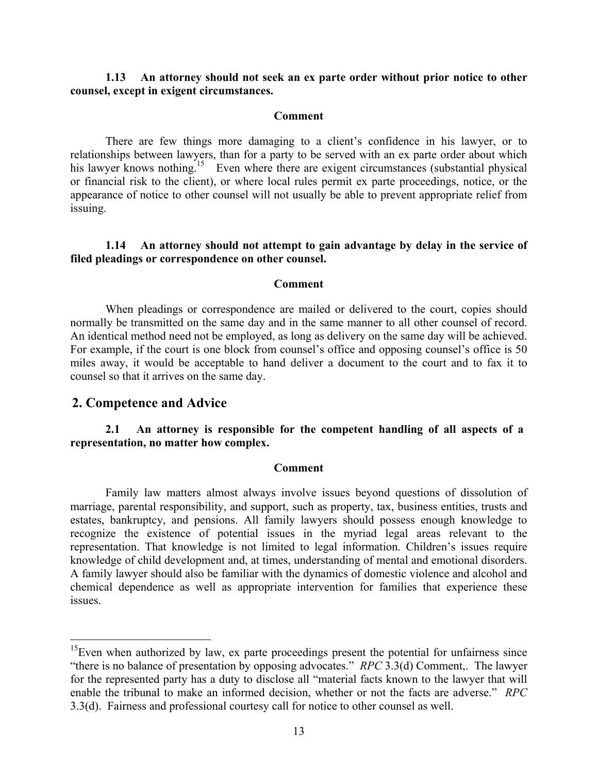# **1.13 An attorney should not seek an ex parte order without prior notice to other counsel, except in exigent circumstances.**

#### **Comment**

There are few things more damaging to a client's confidence in his lawyer, or to relationships between lawyers, than for a party to be served with an ex parte order about which his lawyer knows nothing.<sup>15</sup> Even where there are exigent circumstances (substantial physical or financial risk to the client), or where local rules permit ex parte proceedings, notice, or the appearance of notice to other counsel will not usually be able to prevent appropriate relief from issuing.

# **1.14 An attorney should not attempt to gain advantage by delay in the service of filed pleadings or correspondence on other counsel.**

### **Comment**

When pleadings or correspondence are mailed or delivered to the court, copies should normally be transmitted on the same day and in the same manner to all other counsel of record. An identical method need not be employed, as long as delivery on the same day will be achieved. For example, if the court is one block from counsel's office and opposing counsel's office is 50 miles away, it would be acceptable to hand deliver a document to the court and to fax it to counsel so that it arrives on the same day.

# **2. Competence and Advice**

<u>.</u>

# **2.1 An attorney is responsible for the competent handling of all aspects of a representation, no matter how complex.**

#### **Comment**

Family law matters almost always involve issues beyond questions of dissolution of marriage, parental responsibility, and support, such as property, tax, business entities, trusts and estates, bankruptcy, and pensions. All family lawyers should possess enough knowledge to recognize the existence of potential issues in the myriad legal areas relevant to the representation. That knowledge is not limited to legal information. Children's issues require knowledge of child development and, at times, understanding of mental and emotional disorders. A family lawyer should also be familiar with the dynamics of domestic violence and alcohol and chemical dependence as well as appropriate intervention for families that experience these issues.

 $15$ Even when authorized by law, ex parte proceedings present the potential for unfairness since "there is no balance of presentation by opposing advocates." *RPC* 3.3(d) Comment,. The lawyer for the represented party has a duty to disclose all "material facts known to the lawyer that will enable the tribunal to make an informed decision, whether or not the facts are adverse." *RPC* 3.3(d). Fairness and professional courtesy call for notice to other counsel as well.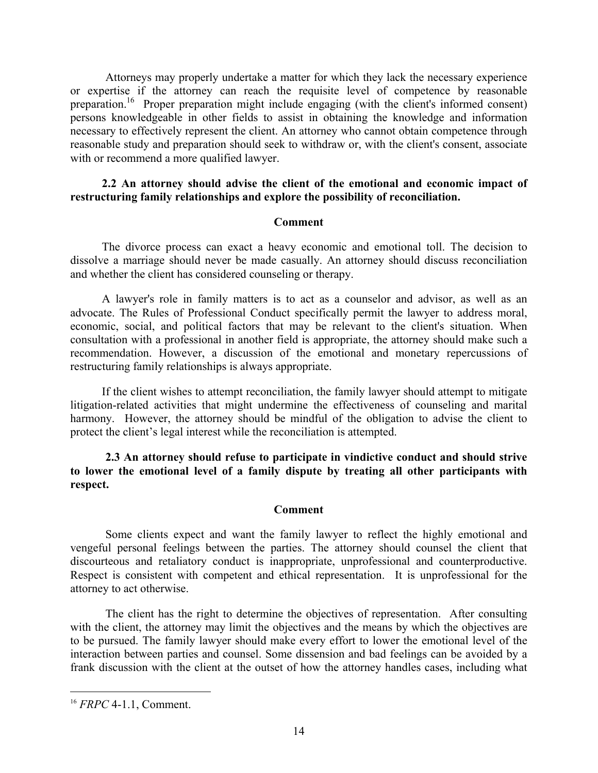Attorneys may properly undertake a matter for which they lack the necessary experience or expertise if the attorney can reach the requisite level of competence by reasonable preparation.16 Proper preparation might include engaging (with the client's informed consent) persons knowledgeable in other fields to assist in obtaining the knowledge and information necessary to effectively represent the client. An attorney who cannot obtain competence through reasonable study and preparation should seek to withdraw or, with the client's consent, associate with or recommend a more qualified lawyer.

#### **2.2 An attorney should advise the client of the emotional and economic impact of restructuring family relationships and explore the possibility of reconciliation.**

#### **Comment**

The divorce process can exact a heavy economic and emotional toll. The decision to dissolve a marriage should never be made casually. An attorney should discuss reconciliation and whether the client has considered counseling or therapy.

A lawyer's role in family matters is to act as a counselor and advisor, as well as an advocate. The Rules of Professional Conduct specifically permit the lawyer to address moral, economic, social, and political factors that may be relevant to the client's situation. When consultation with a professional in another field is appropriate, the attorney should make such a recommendation. However, a discussion of the emotional and monetary repercussions of restructuring family relationships is always appropriate.

If the client wishes to attempt reconciliation, the family lawyer should attempt to mitigate litigation-related activities that might undermine the effectiveness of counseling and marital harmony. However, the attorney should be mindful of the obligation to advise the client to protect the client's legal interest while the reconciliation is attempted.

**2.3 An attorney should refuse to participate in vindictive conduct and should strive to lower the emotional level of a family dispute by treating all other participants with respect.** 

### **Comment**

Some clients expect and want the family lawyer to reflect the highly emotional and vengeful personal feelings between the parties. The attorney should counsel the client that discourteous and retaliatory conduct is inappropriate, unprofessional and counterproductive. Respect is consistent with competent and ethical representation. It is unprofessional for the attorney to act otherwise.

The client has the right to determine the objectives of representation. After consulting with the client, the attorney may limit the objectives and the means by which the objectives are to be pursued. The family lawyer should make every effort to lower the emotional level of the interaction between parties and counsel. Some dissension and bad feelings can be avoided by a frank discussion with the client at the outset of how the attorney handles cases, including what

<sup>16</sup> *FRPC* 4-1.1, Comment.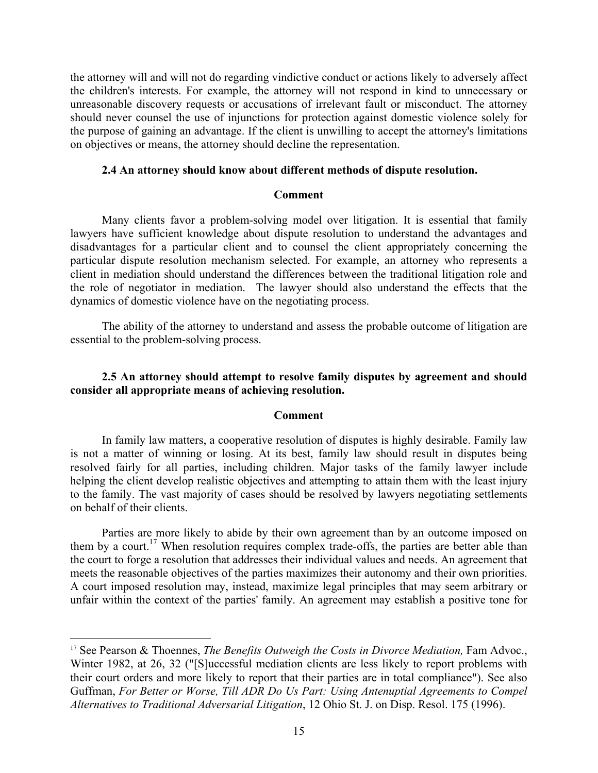the attorney will and will not do regarding vindictive conduct or actions likely to adversely affect the children's interests. For example, the attorney will not respond in kind to unnecessary or unreasonable discovery requests or accusations of irrelevant fault or misconduct. The attorney should never counsel the use of injunctions for protection against domestic violence solely for the purpose of gaining an advantage. If the client is unwilling to accept the attorney's limitations on objectives or means, the attorney should decline the representation.

#### **2.4 An attorney should know about different methods of dispute resolution.**

#### **Comment**

Many clients favor a problem-solving model over litigation. It is essential that family lawyers have sufficient knowledge about dispute resolution to understand the advantages and disadvantages for a particular client and to counsel the client appropriately concerning the particular dispute resolution mechanism selected. For example, an attorney who represents a client in mediation should understand the differences between the traditional litigation role and the role of negotiator in mediation. The lawyer should also understand the effects that the dynamics of domestic violence have on the negotiating process.

The ability of the attorney to understand and assess the probable outcome of litigation are essential to the problem-solving process.

### **2.5 An attorney should attempt to resolve family disputes by agreement and should consider all appropriate means of achieving resolution.**

#### **Comment**

In family law matters, a cooperative resolution of disputes is highly desirable. Family law is not a matter of winning or losing. At its best, family law should result in disputes being resolved fairly for all parties, including children. Major tasks of the family lawyer include helping the client develop realistic objectives and attempting to attain them with the least injury to the family. The vast majority of cases should be resolved by lawyers negotiating settlements on behalf of their clients.

Parties are more likely to abide by their own agreement than by an outcome imposed on them by a court.<sup>17</sup> When resolution requires complex trade-offs, the parties are better able than the court to forge a resolution that addresses their individual values and needs. An agreement that meets the reasonable objectives of the parties maximizes their autonomy and their own priorities. A court imposed resolution may, instead, maximize legal principles that may seem arbitrary or unfair within the context of the parties' family. An agreement may establish a positive tone for

<sup>&</sup>lt;sup>17</sup> See Pearson & Thoennes, *The Benefits Outweigh the Costs in Divorce Mediation*, Fam Advoc., Winter 1982, at 26, 32 ("[S]uccessful mediation clients are less likely to report problems with their court orders and more likely to report that their parties are in total compliance"). See also Guffman, *For Better or Worse, Till ADR Do Us Part: Using Antenuptial Agreements to Compel Alternatives to Traditional Adversarial Litigation*, 12 Ohio St. J. on Disp. Resol. 175 (1996).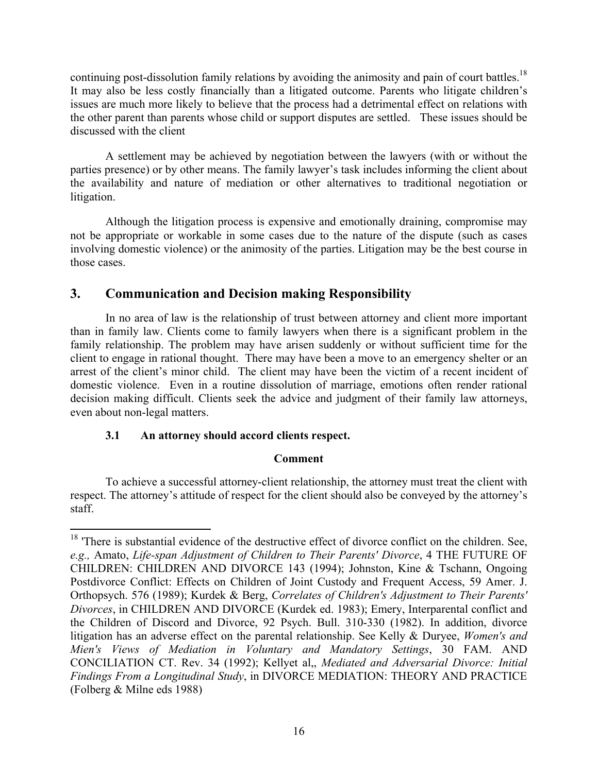continuing post-dissolution family relations by avoiding the animosity and pain of court battles.<sup>18</sup> It may also be less costly financially than a litigated outcome. Parents who litigate children's issues are much more likely to believe that the process had a detrimental effect on relations with the other parent than parents whose child or support disputes are settled. These issues should be discussed with the client

A settlement may be achieved by negotiation between the lawyers (with or without the parties presence) or by other means. The family lawyer's task includes informing the client about the availability and nature of mediation or other alternatives to traditional negotiation or litigation.

Although the litigation process is expensive and emotionally draining, compromise may not be appropriate or workable in some cases due to the nature of the dispute (such as cases involving domestic violence) or the animosity of the parties. Litigation may be the best course in those cases.

# **3. Communication and Decision making Responsibility**

In no area of law is the relationship of trust between attorney and client more important than in family law. Clients come to family lawyers when there is a significant problem in the family relationship. The problem may have arisen suddenly or without sufficient time for the client to engage in rational thought. There may have been a move to an emergency shelter or an arrest of the client's minor child. The client may have been the victim of a recent incident of domestic violence. Even in a routine dissolution of marriage, emotions often render rational decision making difficult. Clients seek the advice and judgment of their family law attorneys, even about non-legal matters.

# **3.1 An attorney should accord clients respect.**

 $\overline{a}$ 

# **Comment**

 To achieve a successful attorney-client relationship, the attorney must treat the client with respect. The attorney's attitude of respect for the client should also be conveyed by the attorney's staff.

<sup>&</sup>lt;sup>18</sup> 'There is substantial evidence of the destructive effect of divorce conflict on the children. See, *e.g.,* Amato, *Life-span Adjustment of Children to Their Parents' Divorce*, 4 THE FUTURE OF CHILDREN: CHILDREN AND DIVORCE 143 (1994); Johnston, Kine & Tschann, Ongoing Postdivorce Conflict: Effects on Children of Joint Custody and Frequent Access, 59 Amer. J. Orthopsych. 576 (1989); Kurdek & Berg, *Correlates of Children's Adjustment to Their Parents' Divorces*, in CHILDREN AND DIVORCE (Kurdek ed. 1983); Emery, Interparental conflict and the Children of Discord and Divorce, 92 Psych. Bull. 310-330 (1982). In addition, divorce litigation has an adverse effect on the parental relationship. See Kelly & Duryee, *Women's and Mien's Views of Mediation in Voluntary and Mandatory Settings*, 30 FAM. AND CONCILIATION CT. Rev. 34 (1992); Kellyet al,, *Mediated and Adversarial Divorce: Initial Findings From a Longitudinal Study*, in DIVORCE MEDIATION: THEORY AND PRACTICE (Folberg & Milne eds 1988)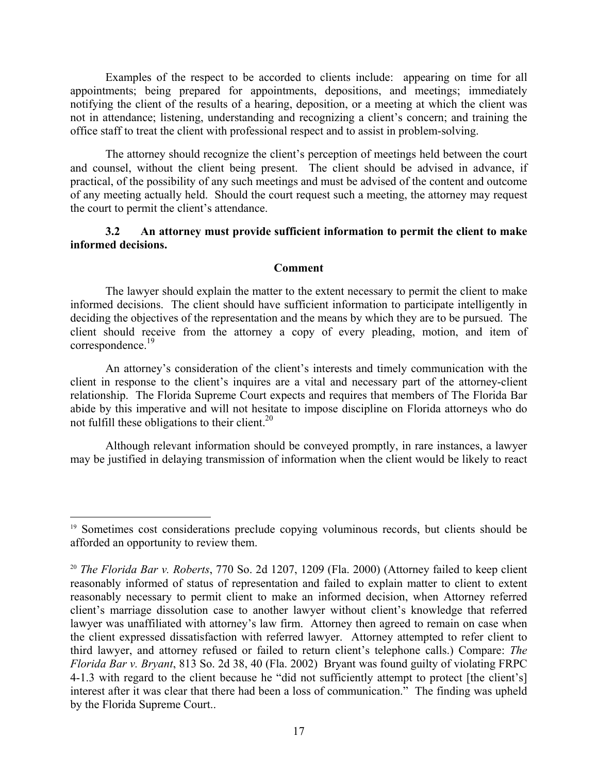Examples of the respect to be accorded to clients include: appearing on time for all appointments; being prepared for appointments, depositions, and meetings; immediately notifying the client of the results of a hearing, deposition, or a meeting at which the client was not in attendance; listening, understanding and recognizing a client's concern; and training the office staff to treat the client with professional respect and to assist in problem-solving.

 The attorney should recognize the client's perception of meetings held between the court and counsel, without the client being present. The client should be advised in advance, if practical, of the possibility of any such meetings and must be advised of the content and outcome of any meeting actually held. Should the court request such a meeting, the attorney may request the court to permit the client's attendance.

# **3.2 An attorney must provide sufficient information to permit the client to make informed decisions.**

# **Comment**

The lawyer should explain the matter to the extent necessary to permit the client to make informed decisions. The client should have sufficient information to participate intelligently in deciding the objectives of the representation and the means by which they are to be pursued. The client should receive from the attorney a copy of every pleading, motion, and item of correspondence.<sup>19</sup>

An attorney's consideration of the client's interests and timely communication with the client in response to the client's inquires are a vital and necessary part of the attorney-client relationship. The Florida Supreme Court expects and requires that members of The Florida Bar abide by this imperative and will not hesitate to impose discipline on Florida attorneys who do not fulfill these obligations to their client.<sup>20</sup>

Although relevant information should be conveyed promptly, in rare instances, a lawyer may be justified in delaying transmission of information when the client would be likely to react

<sup>&</sup>lt;sup>19</sup> Sometimes cost considerations preclude copying voluminous records, but clients should be afforded an opportunity to review them.

<sup>20</sup> *The Florida Bar v. Roberts*, 770 So. 2d 1207, 1209 (Fla. 2000) (Attorney failed to keep client reasonably informed of status of representation and failed to explain matter to client to extent reasonably necessary to permit client to make an informed decision, when Attorney referred client's marriage dissolution case to another lawyer without client's knowledge that referred lawyer was unaffiliated with attorney's law firm. Attorney then agreed to remain on case when the client expressed dissatisfaction with referred lawyer. Attorney attempted to refer client to third lawyer, and attorney refused or failed to return client's telephone calls.) Compare: *The Florida Bar v. Bryant*, 813 So. 2d 38, 40 (Fla. 2002) Bryant was found guilty of violating FRPC 4-1.3 with regard to the client because he "did not sufficiently attempt to protect [the client's] interest after it was clear that there had been a loss of communication." The finding was upheld by the Florida Supreme Court..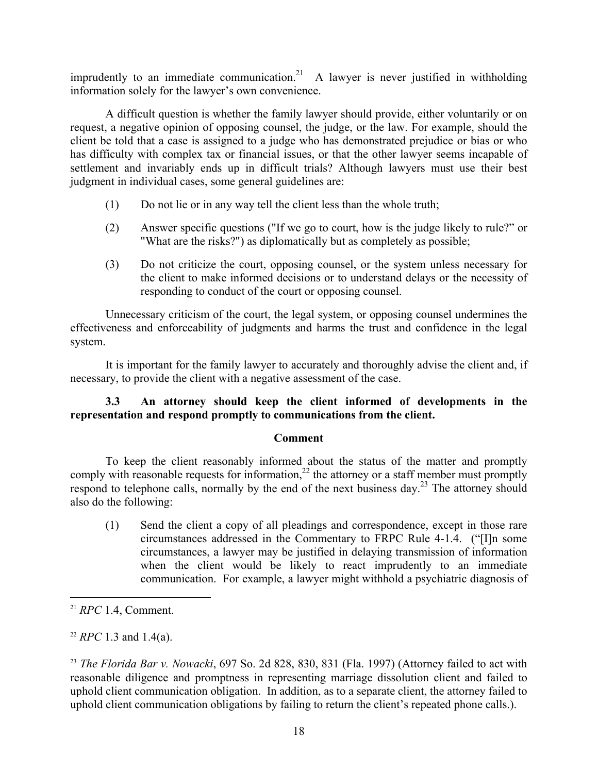imprudently to an immediate communication.<sup>21</sup> A lawyer is never justified in withholding information solely for the lawyer's own convenience.

A difficult question is whether the family lawyer should provide, either voluntarily or on request, a negative opinion of opposing counsel, the judge, or the law. For example, should the client be told that a case is assigned to a judge who has demonstrated prejudice or bias or who has difficulty with complex tax or financial issues, or that the other lawyer seems incapable of settlement and invariably ends up in difficult trials? Although lawyers must use their best judgment in individual cases, some general guidelines are:

- (1) Do not lie or in any way tell the client less than the whole truth;
- (2) Answer specific questions ("If we go to court, how is the judge likely to rule?" or "What are the risks?") as diplomatically but as completely as possible;
- (3) Do not criticize the court, opposing counsel, or the system unless necessary for the client to make informed decisions or to understand delays or the necessity of responding to conduct of the court or opposing counsel.

Unnecessary criticism of the court, the legal system, or opposing counsel undermines the effectiveness and enforceability of judgments and harms the trust and confidence in the legal system.

It is important for the family lawyer to accurately and thoroughly advise the client and, if necessary, to provide the client with a negative assessment of the case.

# **3.3 An attorney should keep the client informed of developments in the representation and respond promptly to communications from the client.**

# **Comment**

To keep the client reasonably informed about the status of the matter and promptly comply with reasonable requests for information,<sup>22</sup> the attorney or a staff member must promptly respond to telephone calls, normally by the end of the next business day.<sup>23</sup> The attorney should also do the following:

(1) Send the client a copy of all pleadings and correspondence, except in those rare circumstances addressed in the Commentary to FRPC Rule 4-1.4. ("[I]n some circumstances, a lawyer may be justified in delaying transmission of information when the client would be likely to react imprudently to an immediate communication. For example, a lawyer might withhold a psychiatric diagnosis of

<sup>21</sup> *RPC* 1.4, Comment.

<sup>22</sup> *RPC* 1.3 and 1.4(a).

<sup>23</sup> *The Florida Bar v. Nowacki*, 697 So. 2d 828, 830, 831 (Fla. 1997) (Attorney failed to act with reasonable diligence and promptness in representing marriage dissolution client and failed to uphold client communication obligation. In addition, as to a separate client, the attorney failed to uphold client communication obligations by failing to return the client's repeated phone calls.).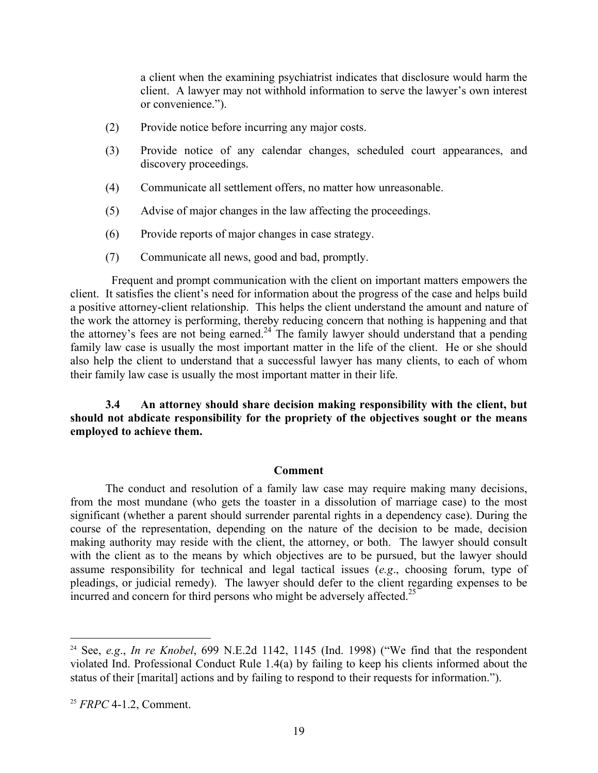a client when the examining psychiatrist indicates that disclosure would harm the client. A lawyer may not withhold information to serve the lawyer's own interest or convenience.").

- (2) Provide notice before incurring any major costs.
- (3) Provide notice of any calendar changes, scheduled court appearances, and discovery proceedings.
- (4) Communicate all settlement offers, no matter how unreasonable.
- (5) Advise of major changes in the law affecting the proceedings.
- (6) Provide reports of major changes in case strategy.
- (7) Communicate all news, good and bad, promptly.

 Frequent and prompt communication with the client on important matters empowers the client. It satisfies the client's need for information about the progress of the case and helps build a positive attorney-client relationship. This helps the client understand the amount and nature of the work the attorney is performing, thereby reducing concern that nothing is happening and that the attorney's fees are not being earned.<sup>24</sup> The family lawyer should understand that a pending family law case is usually the most important matter in the life of the client. He or she should also help the client to understand that a successful lawyer has many clients, to each of whom their family law case is usually the most important matter in their life.

**3.4 An attorney should share decision making responsibility with the client, but should not abdicate responsibility for the propriety of the objectives sought or the means employed to achieve them.** 

#### **Comment**

The conduct and resolution of a family law case may require making many decisions, from the most mundane (who gets the toaster in a dissolution of marriage case) to the most significant (whether a parent should surrender parental rights in a dependency case). During the course of the representation, depending on the nature of the decision to be made, decision making authority may reside with the client, the attorney, or both. The lawyer should consult with the client as to the means by which objectives are to be pursued, but the lawyer should assume responsibility for technical and legal tactical issues (*e.g*., choosing forum, type of pleadings, or judicial remedy). The lawyer should defer to the client regarding expenses to be incurred and concern for third persons who might be adversely affected.<sup>25</sup>

<sup>24</sup> See, *e.g*., *In re Knobel*, 699 N.E.2d 1142, 1145 (Ind. 1998) ("We find that the respondent violated Ind. Professional Conduct Rule 1.4(a) by failing to keep his clients informed about the status of their [marital] actions and by failing to respond to their requests for information.").

<sup>25</sup> *FRPC* 4-1.2, Comment.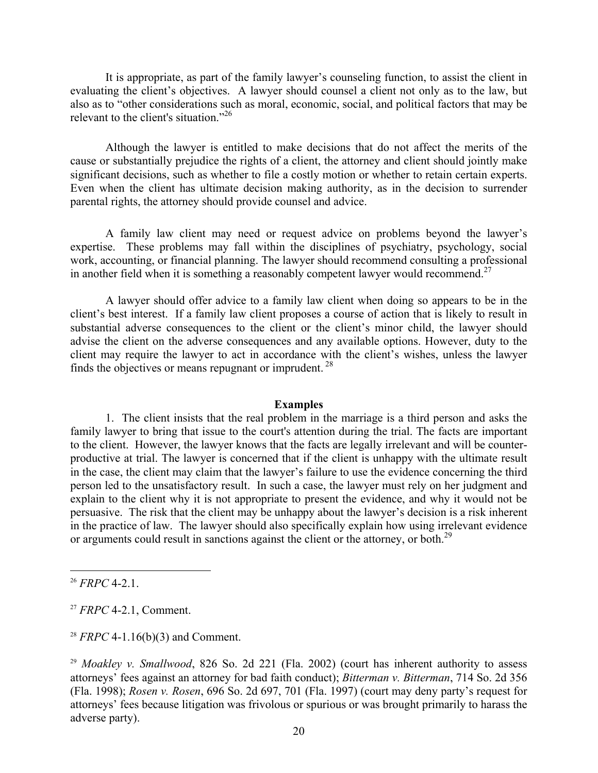It is appropriate, as part of the family lawyer's counseling function, to assist the client in evaluating the client's objectives. A lawyer should counsel a client not only as to the law, but also as to "other considerations such as moral, economic, social, and political factors that may be relevant to the client's situation."<sup>26</sup>

Although the lawyer is entitled to make decisions that do not affect the merits of the cause or substantially prejudice the rights of a client, the attorney and client should jointly make significant decisions, such as whether to file a costly motion or whether to retain certain experts. Even when the client has ultimate decision making authority, as in the decision to surrender parental rights, the attorney should provide counsel and advice.

 A family law client may need or request advice on problems beyond the lawyer's expertise. These problems may fall within the disciplines of psychiatry, psychology, social work, accounting, or financial planning. The lawyer should recommend consulting a professional in another field when it is something a reasonably competent lawyer would recommend.<sup>27</sup>

 A lawyer should offer advice to a family law client when doing so appears to be in the client's best interest. If a family law client proposes a course of action that is likely to result in substantial adverse consequences to the client or the client's minor child, the lawyer should advise the client on the adverse consequences and any available options. However, duty to the client may require the lawyer to act in accordance with the client's wishes, unless the lawyer finds the objectives or means repugnant or imprudent.  $28$ 

#### **Examples**

 1. The client insists that the real problem in the marriage is a third person and asks the family lawyer to bring that issue to the court's attention during the trial. The facts are important to the client. However, the lawyer knows that the facts are legally irrelevant and will be counterproductive at trial. The lawyer is concerned that if the client is unhappy with the ultimate result in the case, the client may claim that the lawyer's failure to use the evidence concerning the third person led to the unsatisfactory result. In such a case, the lawyer must rely on her judgment and explain to the client why it is not appropriate to present the evidence, and why it would not be persuasive. The risk that the client may be unhappy about the lawyer's decision is a risk inherent in the practice of law. The lawyer should also specifically explain how using irrelevant evidence or arguments could result in sanctions against the client or the attorney, or both.<sup>29</sup>

1

<sup>27</sup> *FRPC* 4-2.1, Comment.

<sup>28</sup> *FRPC* 4-1.16(b)(3) and Comment.

<sup>26</sup> *FRPC* 4-2.1.

<sup>&</sup>lt;sup>29</sup> *Moakley v. Smallwood*, 826 So. 2d 221 (Fla. 2002) (court has inherent authority to assess attorneys' fees against an attorney for bad faith conduct); *Bitterman v. Bitterman*, 714 So. 2d 356 (Fla. 1998); *Rosen v. Rosen*, 696 So. 2d 697, 701 (Fla. 1997) (court may deny party's request for attorneys' fees because litigation was frivolous or spurious or was brought primarily to harass the adverse party).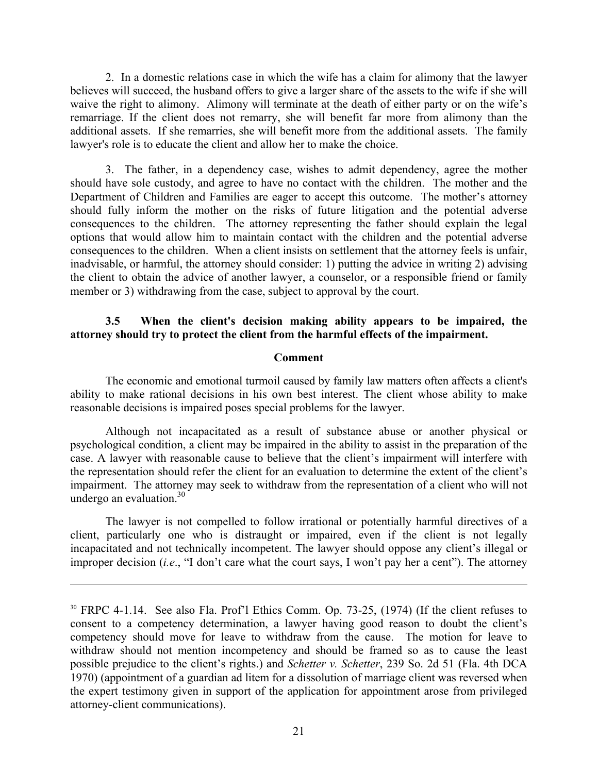2. In a domestic relations case in which the wife has a claim for alimony that the lawyer believes will succeed, the husband offers to give a larger share of the assets to the wife if she will waive the right to alimony. Alimony will terminate at the death of either party or on the wife's remarriage. If the client does not remarry, she will benefit far more from alimony than the additional assets. If she remarries, she will benefit more from the additional assets. The family lawyer's role is to educate the client and allow her to make the choice.

 3. The father, in a dependency case, wishes to admit dependency, agree the mother should have sole custody, and agree to have no contact with the children. The mother and the Department of Children and Families are eager to accept this outcome. The mother's attorney should fully inform the mother on the risks of future litigation and the potential adverse consequences to the children. The attorney representing the father should explain the legal options that would allow him to maintain contact with the children and the potential adverse consequences to the children. When a client insists on settlement that the attorney feels is unfair, inadvisable, or harmful, the attorney should consider: 1) putting the advice in writing 2) advising the client to obtain the advice of another lawyer, a counselor, or a responsible friend or family member or 3) withdrawing from the case, subject to approval by the court.

### **3.5 When the client's decision making ability appears to be impaired, the attorney should try to protect the client from the harmful effects of the impairment.**

#### **Comment**

The economic and emotional turmoil caused by family law matters often affects a client's ability to make rational decisions in his own best interest. The client whose ability to make reasonable decisions is impaired poses special problems for the lawyer.

 Although not incapacitated as a result of substance abuse or another physical or psychological condition, a client may be impaired in the ability to assist in the preparation of the case. A lawyer with reasonable cause to believe that the client's impairment will interfere with the representation should refer the client for an evaluation to determine the extent of the client's impairment. The attorney may seek to withdraw from the representation of a client who will not undergo an evaluation. $30$ 

 The lawyer is not compelled to follow irrational or potentially harmful directives of a client, particularly one who is distraught or impaired, even if the client is not legally incapacitated and not technically incompetent. The lawyer should oppose any client's illegal or improper decision (*i.e*., "I don't care what the court says, I won't pay her a cent"). The attorney

<u>.</u>

<sup>30</sup> FRPC 4-1.14. See also Fla. Prof'l Ethics Comm. Op. 73-25, (1974) (If the client refuses to consent to a competency determination, a lawyer having good reason to doubt the client's competency should move for leave to withdraw from the cause. The motion for leave to withdraw should not mention incompetency and should be framed so as to cause the least possible prejudice to the client's rights.) and *Schetter v. Schetter*, 239 So. 2d 51 (Fla. 4th DCA 1970) (appointment of a guardian ad litem for a dissolution of marriage client was reversed when the expert testimony given in support of the application for appointment arose from privileged attorney-client communications).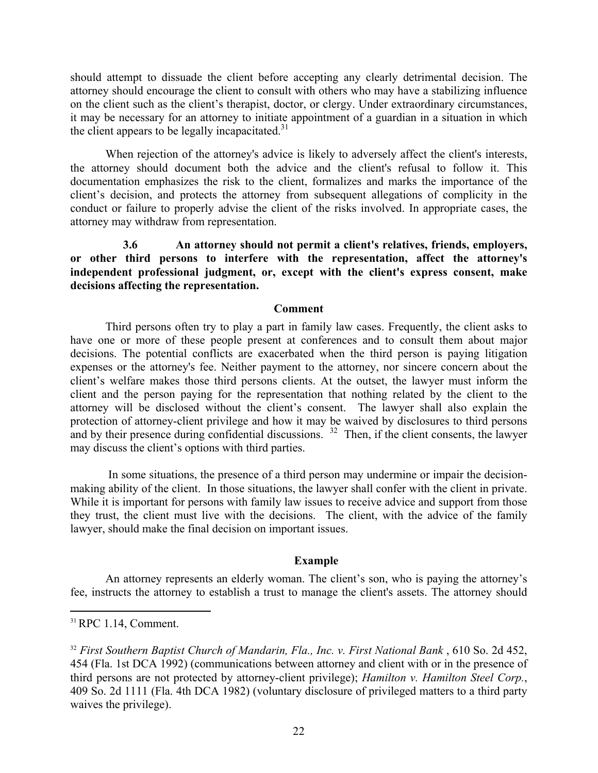should attempt to dissuade the client before accepting any clearly detrimental decision. The attorney should encourage the client to consult with others who may have a stabilizing influence on the client such as the client's therapist, doctor, or clergy. Under extraordinary circumstances, it may be necessary for an attorney to initiate appointment of a guardian in a situation in which the client appears to be legally incapacitated.<sup>31</sup>

When rejection of the attorney's advice is likely to adversely affect the client's interests, the attorney should document both the advice and the client's refusal to follow it. This documentation emphasizes the risk to the client, formalizes and marks the importance of the client's decision, and protects the attorney from subsequent allegations of complicity in the conduct or failure to properly advise the client of the risks involved. In appropriate cases, the attorney may withdraw from representation.

 **3.6 An attorney should not permit a client's relatives, friends, employers, or other third persons to interfere with the representation, affect the attorney's independent professional judgment, or, except with the client's express consent, make decisions affecting the representation.** 

#### **Comment**

Third persons often try to play a part in family law cases. Frequently, the client asks to have one or more of these people present at conferences and to consult them about major decisions. The potential conflicts are exacerbated when the third person is paying litigation expenses or the attorney's fee. Neither payment to the attorney, nor sincere concern about the client's welfare makes those third persons clients. At the outset, the lawyer must inform the client and the person paying for the representation that nothing related by the client to the attorney will be disclosed without the client's consent. The lawyer shall also explain the protection of attorney-client privilege and how it may be waived by disclosures to third persons and by their presence during confidential discussions.<sup>32</sup> Then, if the client consents, the lawyer may discuss the client's options with third parties.

 In some situations, the presence of a third person may undermine or impair the decisionmaking ability of the client. In those situations, the lawyer shall confer with the client in private. While it is important for persons with family law issues to receive advice and support from those they trust, the client must live with the decisions. The client, with the advice of the family lawyer, should make the final decision on important issues.

#### **Example**

An attorney represents an elderly woman. The client's son, who is paying the attorney's fee, instructs the attorney to establish a trust to manage the client's assets. The attorney should

<sup>31</sup>RPC 1.14, Comment.

<sup>&</sup>lt;sup>32</sup> First Southern Baptist Church of Mandarin, Fla., Inc. v. First National Bank, 610 So. 2d 452, 454 (Fla. 1st DCA 1992) (communications between attorney and client with or in the presence of third persons are not protected by attorney-client privilege); *Hamilton v. Hamilton Steel Corp.*, 409 So. 2d 1111 (Fla. 4th DCA 1982) (voluntary disclosure of privileged matters to a third party waives the privilege).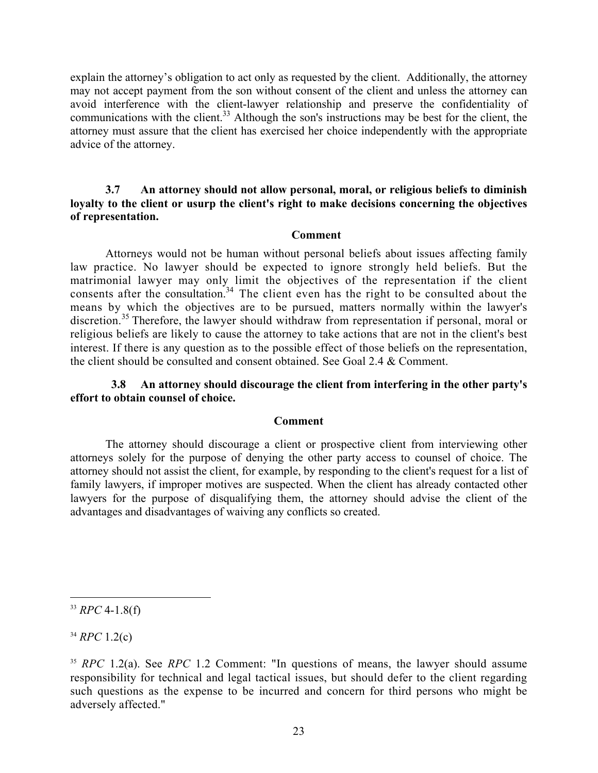explain the attorney's obligation to act only as requested by the client. Additionally, the attorney may not accept payment from the son without consent of the client and unless the attorney can avoid interference with the client-lawyer relationship and preserve the confidentiality of communications with the client.<sup>33</sup> Although the son's instructions may be best for the client, the attorney must assure that the client has exercised her choice independently with the appropriate advice of the attorney.

# **3.7 An attorney should not allow personal, moral, or religious beliefs to diminish loyalty to the client or usurp the client's right to make decisions concerning the objectives of representation.**

#### **Comment**

Attorneys would not be human without personal beliefs about issues affecting family law practice. No lawyer should be expected to ignore strongly held beliefs. But the matrimonial lawyer may only limit the objectives of the representation if the client consents after the consultation.<sup>34</sup> The client even has the right to be consulted about the means by which the objectives are to be pursued, matters normally within the lawyer's discretion.<sup>35</sup> Therefore, the lawyer should withdraw from representation if personal, moral or religious beliefs are likely to cause the attorney to take actions that are not in the client's best interest. If there is any question as to the possible effect of those beliefs on the representation, the client should be consulted and consent obtained. See Goal 2.4 & Comment.

# **3.8 An attorney should discourage the client from interfering in the other party's effort to obtain counsel of choice.**

#### **Comment**

The attorney should discourage a client or prospective client from interviewing other attorneys solely for the purpose of denying the other party access to counsel of choice. The attorney should not assist the client, for example, by responding to the client's request for a list of family lawyers, if improper motives are suspected. When the client has already contacted other lawyers for the purpose of disqualifying them, the attorney should advise the client of the advantages and disadvantages of waiving any conflicts so created.

1

<sup>34</sup> *RPC* 1.2(c)

 $33$  *RPC* 4-1.8(f)

<sup>35</sup> *RPC* 1.2(a). See *RPC* 1.2 Comment: "In questions of means, the lawyer should assume responsibility for technical and legal tactical issues, but should defer to the client regarding such questions as the expense to be incurred and concern for third persons who might be adversely affected."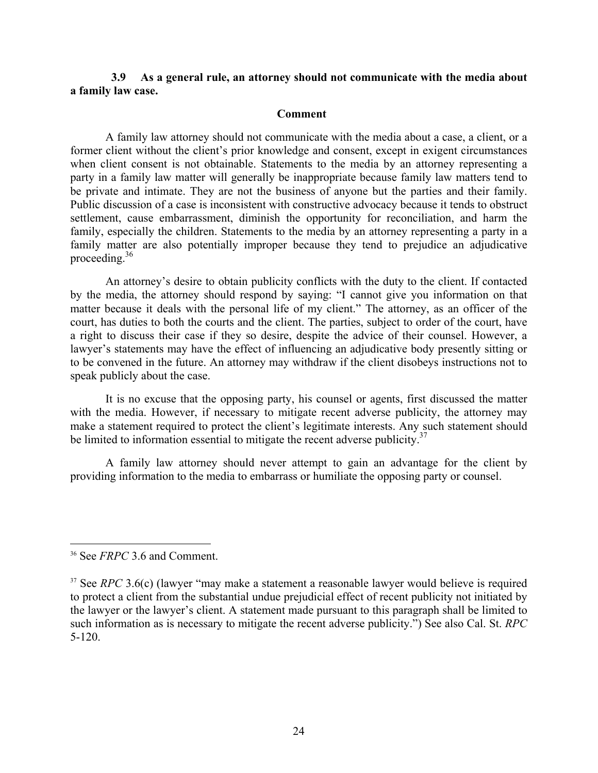### **3.9 As a general rule, an attorney should not communicate with the media about a family law case.**

#### **Comment**

A family law attorney should not communicate with the media about a case, a client, or a former client without the client's prior knowledge and consent, except in exigent circumstances when client consent is not obtainable. Statements to the media by an attorney representing a party in a family law matter will generally be inappropriate because family law matters tend to be private and intimate. They are not the business of anyone but the parties and their family. Public discussion of a case is inconsistent with constructive advocacy because it tends to obstruct settlement, cause embarrassment, diminish the opportunity for reconciliation, and harm the family, especially the children. Statements to the media by an attorney representing a party in a family matter are also potentially improper because they tend to prejudice an adjudicative proceeding.36

An attorney's desire to obtain publicity conflicts with the duty to the client. If contacted by the media, the attorney should respond by saying: "I cannot give you information on that matter because it deals with the personal life of my client." The attorney, as an officer of the court, has duties to both the courts and the client. The parties, subject to order of the court, have a right to discuss their case if they so desire, despite the advice of their counsel. However, a lawyer's statements may have the effect of influencing an adjudicative body presently sitting or to be convened in the future. An attorney may withdraw if the client disobeys instructions not to speak publicly about the case.

It is no excuse that the opposing party, his counsel or agents, first discussed the matter with the media. However, if necessary to mitigate recent adverse publicity, the attorney may make a statement required to protect the client's legitimate interests. Any such statement should be limited to information essential to mitigate the recent adverse publicity.<sup>37</sup>

A family law attorney should never attempt to gain an advantage for the client by providing information to the media to embarrass or humiliate the opposing party or counsel.

<sup>36</sup> See *FRPC* 3.6 and Comment.

<sup>&</sup>lt;sup>37</sup> See *RPC* 3.6(c) (lawyer "may make a statement a reasonable lawyer would believe is required to protect a client from the substantial undue prejudicial effect of recent publicity not initiated by the lawyer or the lawyer's client. A statement made pursuant to this paragraph shall be limited to such information as is necessary to mitigate the recent adverse publicity.") See also Cal. St. *RPC* 5-120.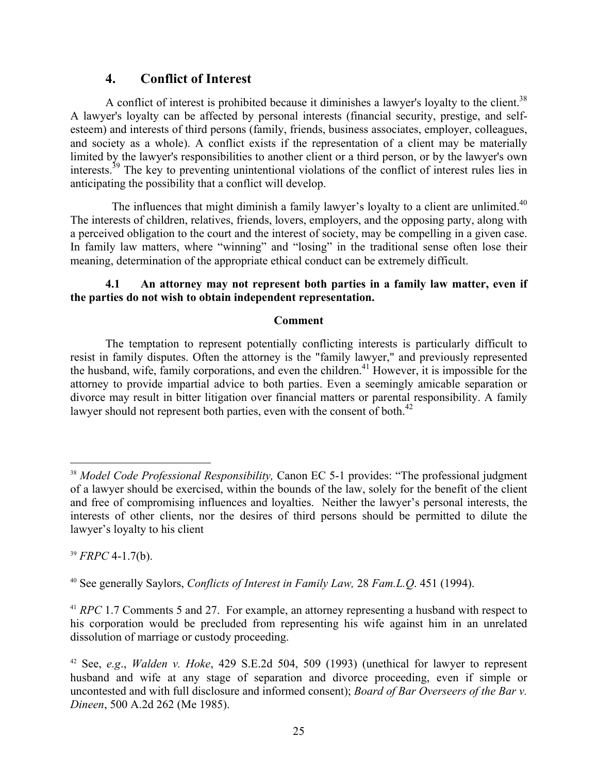# **4. Conflict of Interest**

A conflict of interest is prohibited because it diminishes a lawyer's loyalty to the client.<sup>38</sup> A lawyer's loyalty can be affected by personal interests (financial security, prestige, and selfesteem) and interests of third persons (family, friends, business associates, employer, colleagues, and society as a whole). A conflict exists if the representation of a client may be materially limited by the lawyer's responsibilities to another client or a third person, or by the lawyer's own interests.39 The key to preventing unintentional violations of the conflict of interest rules lies in anticipating the possibility that a conflict will develop.

The influences that might diminish a family lawyer's loyalty to a client are unlimited.<sup>40</sup> The interests of children, relatives, friends, lovers, employers, and the opposing party, along with a perceived obligation to the court and the interest of society, may be compelling in a given case. In family law matters, where "winning" and "losing" in the traditional sense often lose their meaning, determination of the appropriate ethical conduct can be extremely difficult.

# **4.1 An attorney may not represent both parties in a family law matter, even if the parties do not wish to obtain independent representation.**

# **Comment**

The temptation to represent potentially conflicting interests is particularly difficult to resist in family disputes. Often the attorney is the "family lawyer," and previously represented the husband, wife, family corporations, and even the children.<sup>41</sup> However, it is impossible for the attorney to provide impartial advice to both parties. Even a seemingly amicable separation or divorce may result in bitter litigation over financial matters or parental responsibility. A family lawyer should not represent both parties, even with the consent of both. $^{42}$ 

<sup>39</sup> *FRPC* 4-1.7(b).

<sup>&</sup>lt;sup>38</sup> *Model Code Professional Responsibility*, Canon EC 5-1 provides: "The professional judgment of a lawyer should be exercised, within the bounds of the law, solely for the benefit of the client and free of compromising influences and loyalties. Neither the lawyer's personal interests, the interests of other clients, nor the desires of third persons should be permitted to dilute the lawyer's loyalty to his client

<sup>40</sup> See generally Saylors, *Conflicts of Interest in Family Law,* 28 *Fam.L.Q*. 451 (1994).

<sup>&</sup>lt;sup>41</sup> *RPC* 1.7 Comments 5 and 27. For example, an attorney representing a husband with respect to his corporation would be precluded from representing his wife against him in an unrelated dissolution of marriage or custody proceeding.

<sup>42</sup> See, *e.g*., *Walden v. Hoke*, 429 S.E.2d 504, 509 (1993) (unethical for lawyer to represent husband and wife at any stage of separation and divorce proceeding, even if simple or uncontested and with full disclosure and informed consent); *Board of Bar Overseers of the Bar v. Dineen*, 500 A.2d 262 (Me 1985).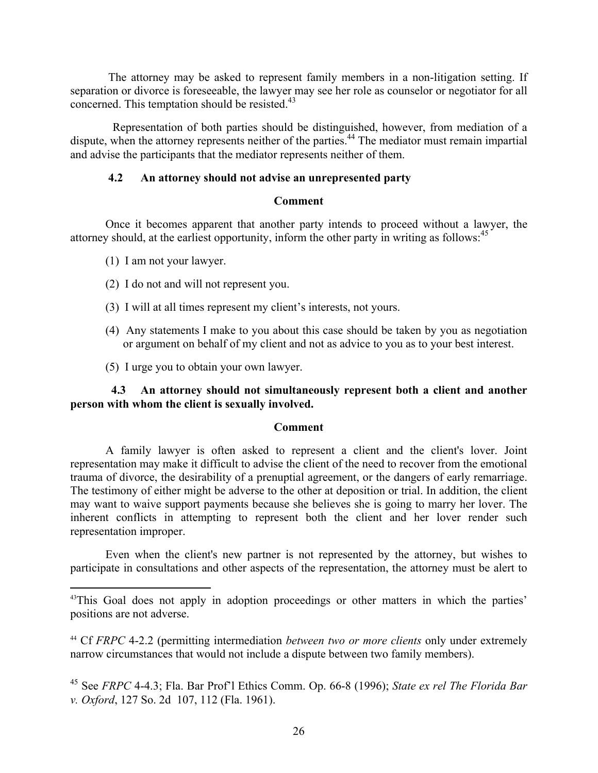The attorney may be asked to represent family members in a non-litigation setting. If separation or divorce is foreseeable, the lawyer may see her role as counselor or negotiator for all concerned. This temptation should be resisted.<sup>43</sup>

 Representation of both parties should be distinguished, however, from mediation of a dispute, when the attorney represents neither of the parties.44 The mediator must remain impartial and advise the participants that the mediator represents neither of them.

# **4.2 An attorney should not advise an unrepresented party**

# **Comment**

Once it becomes apparent that another party intends to proceed without a lawyer, the attorney should, at the earliest opportunity, inform the other party in writing as follows:<sup>45</sup>

(1) I am not your lawyer.

 $\overline{a}$ 

- (2) I do not and will not represent you.
- (3) I will at all times represent my client's interests, not yours.
- (4) Any statements I make to you about this case should be taken by you as negotiation or argument on behalf of my client and not as advice to you as to your best interest.
- (5) I urge you to obtain your own lawyer.

 **4.3 An attorney should not simultaneously represent both a client and another person with whom the client is sexually involved.** 

# **Comment**

A family lawyer is often asked to represent a client and the client's lover. Joint representation may make it difficult to advise the client of the need to recover from the emotional trauma of divorce, the desirability of a prenuptial agreement, or the dangers of early remarriage. The testimony of either might be adverse to the other at deposition or trial. In addition, the client may want to waive support payments because she believes she is going to marry her lover. The inherent conflicts in attempting to represent both the client and her lover render such representation improper.

Even when the client's new partner is not represented by the attorney, but wishes to participate in consultations and other aspects of the representation, the attorney must be alert to

<sup>&</sup>lt;sup>43</sup>This Goal does not apply in adoption proceedings or other matters in which the parties' positions are not adverse.

<sup>44</sup> Cf *FRPC* 4-2.2 (permitting intermediation *between two or more clients* only under extremely narrow circumstances that would not include a dispute between two family members).

<sup>45</sup> See *FRPC* 4-4.3; Fla. Bar Prof'l Ethics Comm. Op. 66-8 (1996); *State ex rel The Florida Bar v. Oxford*, 127 So. 2d 107, 112 (Fla. 1961).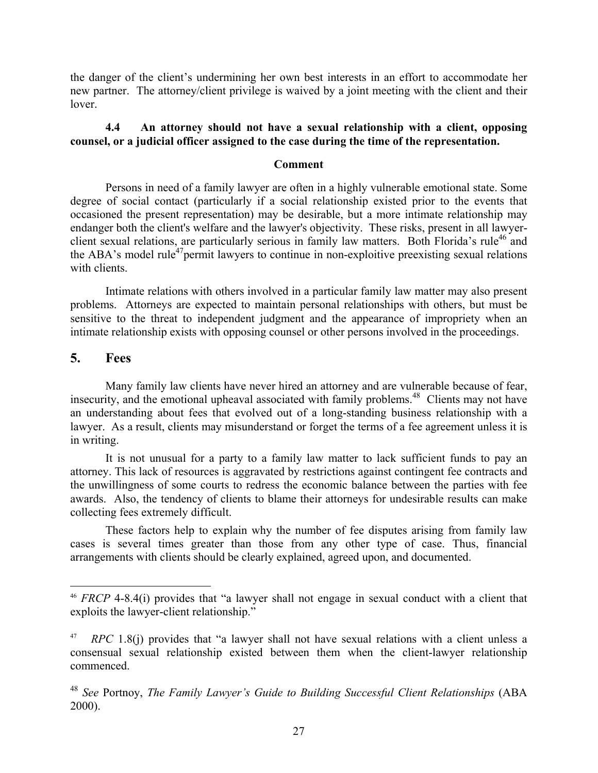the danger of the client's undermining her own best interests in an effort to accommodate her new partner. The attorney/client privilege is waived by a joint meeting with the client and their lover.

# **4.4 An attorney should not have a sexual relationship with a client, opposing counsel, or a judicial officer assigned to the case during the time of the representation.**

# **Comment**

Persons in need of a family lawyer are often in a highly vulnerable emotional state. Some degree of social contact (particularly if a social relationship existed prior to the events that occasioned the present representation) may be desirable, but a more intimate relationship may endanger both the client's welfare and the lawyer's objectivity. These risks, present in all lawyerclient sexual relations, are particularly serious in family law matters. Both Florida's rule<sup>46</sup> and the ABA's model rule<sup>47</sup> permit lawyers to continue in non-exploitive preexisting sexual relations with clients.

 Intimate relations with others involved in a particular family law matter may also present problems. Attorneys are expected to maintain personal relationships with others, but must be sensitive to the threat to independent judgment and the appearance of impropriety when an intimate relationship exists with opposing counsel or other persons involved in the proceedings.

# **5. Fees**

1

 Many family law clients have never hired an attorney and are vulnerable because of fear, insecurity, and the emotional upheaval associated with family problems.<sup>48</sup> Clients may not have an understanding about fees that evolved out of a long-standing business relationship with a lawyer. As a result, clients may misunderstand or forget the terms of a fee agreement unless it is in writing.

 It is not unusual for a party to a family law matter to lack sufficient funds to pay an attorney. This lack of resources is aggravated by restrictions against contingent fee contracts and the unwillingness of some courts to redress the economic balance between the parties with fee awards. Also, the tendency of clients to blame their attorneys for undesirable results can make collecting fees extremely difficult.

 These factors help to explain why the number of fee disputes arising from family law cases is several times greater than those from any other type of case. Thus, financial arrangements with clients should be clearly explained, agreed upon, and documented.

<sup>46</sup> *FRCP* 4-8.4(i) provides that "a lawyer shall not engage in sexual conduct with a client that exploits the lawyer-client relationship."

<sup>&</sup>lt;sup>47</sup> *RPC* 1.8(j) provides that "a lawyer shall not have sexual relations with a client unless a consensual sexual relationship existed between them when the client-lawyer relationship commenced.

<sup>48</sup> *See* Portnoy, *The Family Lawyer's Guide to Building Successful Client Relationships* (ABA 2000).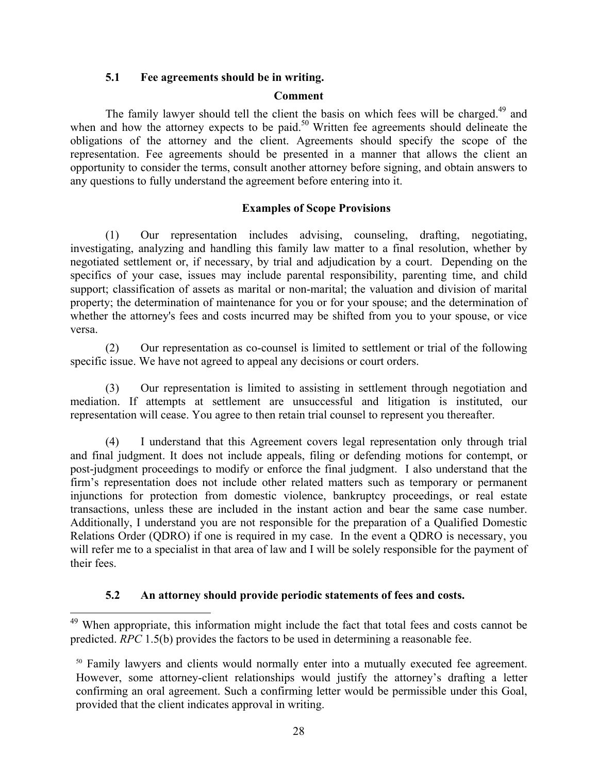# **5.1 Fee agreements should be in writing.**

# **Comment**

The family lawyer should tell the client the basis on which fees will be charged.<sup>49</sup> and when and how the attorney expects to be paid.<sup>50</sup> Written fee agreements should delineate the obligations of the attorney and the client. Agreements should specify the scope of the representation. Fee agreements should be presented in a manner that allows the client an opportunity to consider the terms, consult another attorney before signing, and obtain answers to any questions to fully understand the agreement before entering into it.

# **Examples of Scope Provisions**

(1) Our representation includes advising, counseling, drafting, negotiating, investigating, analyzing and handling this family law matter to a final resolution, whether by negotiated settlement or, if necessary, by trial and adjudication by a court. Depending on the specifics of your case, issues may include parental responsibility, parenting time, and child support; classification of assets as marital or non-marital; the valuation and division of marital property; the determination of maintenance for you or for your spouse; and the determination of whether the attorney's fees and costs incurred may be shifted from you to your spouse, or vice versa.

(2) Our representation as co-counsel is limited to settlement or trial of the following specific issue. We have not agreed to appeal any decisions or court orders.

(3) Our representation is limited to assisting in settlement through negotiation and mediation. If attempts at settlement are unsuccessful and litigation is instituted, our representation will cease. You agree to then retain trial counsel to represent you thereafter.

(4) I understand that this Agreement covers legal representation only through trial and final judgment. It does not include appeals, filing or defending motions for contempt, or post-judgment proceedings to modify or enforce the final judgment. I also understand that the firm's representation does not include other related matters such as temporary or permanent injunctions for protection from domestic violence, bankruptcy proceedings, or real estate transactions, unless these are included in the instant action and bear the same case number. Additionally, I understand you are not responsible for the preparation of a Qualified Domestic Relations Order (QDRO) if one is required in my case. In the event a QDRO is necessary, you will refer me to a specialist in that area of law and I will be solely responsible for the payment of their fees.

# **5.2 An attorney should provide periodic statements of fees and costs.**

<sup>&</sup>lt;sup>49</sup> When appropriate, this information might include the fact that total fees and costs cannot be predicted. *RPC* 1.5(b) provides the factors to be used in determining a reasonable fee.

<sup>&</sup>lt;sup>50</sup> Family lawyers and clients would normally enter into a mutually executed fee agreement. However, some attorney-client relationships would justify the attorney's drafting a letter confirming an oral agreement. Such a confirming letter would be permissible under this Goal, provided that the client indicates approval in writing.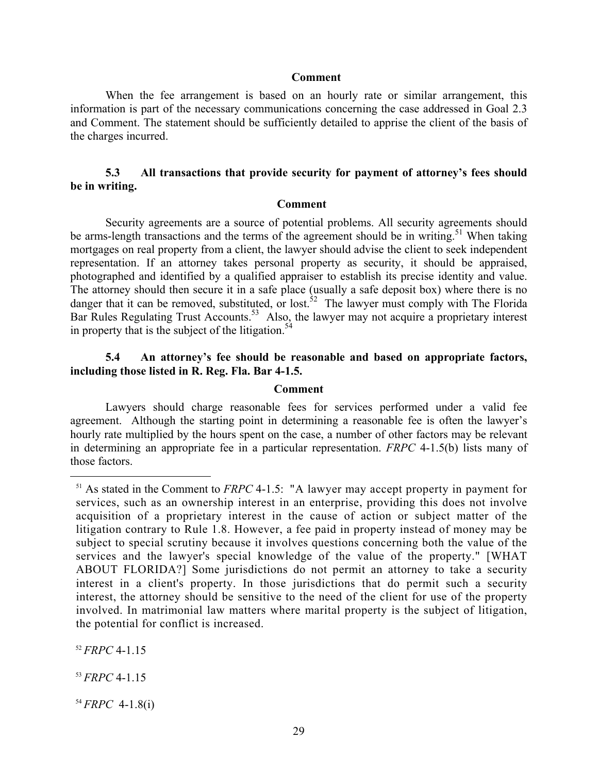#### **Comment**

When the fee arrangement is based on an hourly rate or similar arrangement, this information is part of the necessary communications concerning the case addressed in Goal 2.3 and Comment. The statement should be sufficiently detailed to apprise the client of the basis of the charges incurred.

# **5.3 All transactions that provide security for payment of attorney's fees should be in writing.**

#### **Comment**

Security agreements are a source of potential problems. All security agreements should be arms-length transactions and the terms of the agreement should be in writing.<sup>51</sup> When taking mortgages on real property from a client, the lawyer should advise the client to seek independent representation. If an attorney takes personal property as security, it should be appraised, photographed and identified by a qualified appraiser to establish its precise identity and value. The attorney should then secure it in a safe place (usually a safe deposit box) where there is no danger that it can be removed, substituted, or lost.<sup>52</sup> The lawyer must comply with The Florida Bar Rules Regulating Trust Accounts.<sup>53</sup> Also, the lawyer may not acquire a proprietary interest in property that is the subject of the litigation.<sup>54</sup>

# **5.4 An attorney's fee should be reasonable and based on appropriate factors, including those listed in R. Reg. Fla. Bar 4-1.5.**

#### **Comment**

Lawyers should charge reasonable fees for services performed under a valid fee agreement. Although the starting point in determining a reasonable fee is often the lawyer's hourly rate multiplied by the hours spent on the case, a number of other factors may be relevant in determining an appropriate fee in a particular representation. *FRPC* 4-1.5(b) lists many of those factors.

<sup>52</sup> *FRPC* 4-1.15

 $\overline{a}$ 

<sup>53</sup> *FRPC* 4-1.15

<sup>54</sup> *FRPC* 4-1.8(i)

<sup>51</sup> As stated in the Comment to *FRPC* 4-1.5: "A lawyer may accept property in payment for services, such as an ownership interest in an enterprise, providing this does not involve acquisition of a proprietary interest in the cause of action or subject matter of the litigation contrary to Rule 1.8. However, a fee paid in property instead of money may be subject to special scrutiny because it involves questions concerning both the value of the services and the lawyer's special knowledge of the value of the property." [WHAT ABOUT FLORIDA?] Some jurisdictions do not permit an attorney to take a security interest in a client's property. In those jurisdictions that do permit such a security interest, the attorney should be sensitive to the need of the client for use of the property involved. In matrimonial law matters where marital property is the subject of litigation, the potential for conflict is increased.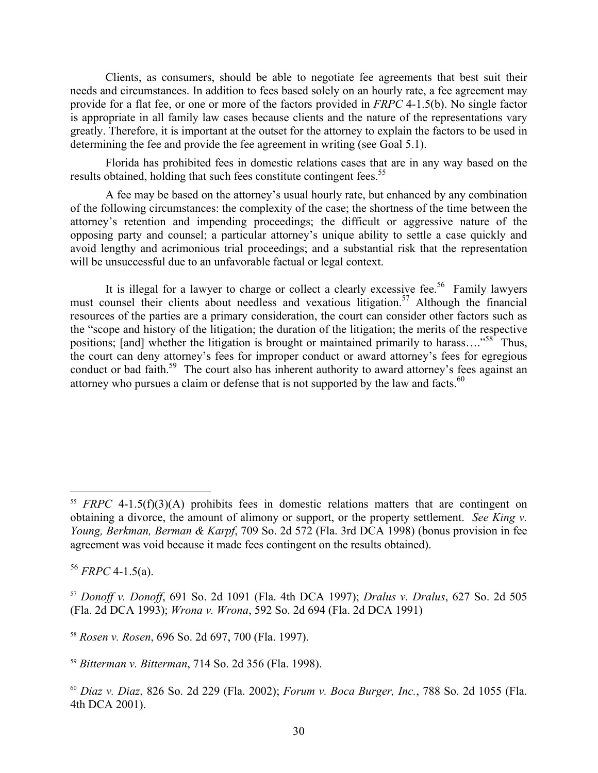Clients, as consumers, should be able to negotiate fee agreements that best suit their needs and circumstances. In addition to fees based solely on an hourly rate, a fee agreement may provide for a flat fee, or one or more of the factors provided in *FRPC* 4-1.5(b). No single factor is appropriate in all family law cases because clients and the nature of the representations vary greatly. Therefore, it is important at the outset for the attorney to explain the factors to be used in determining the fee and provide the fee agreement in writing (see Goal 5.1).

Florida has prohibited fees in domestic relations cases that are in any way based on the results obtained, holding that such fees constitute contingent fees.<sup>55</sup>

A fee may be based on the attorney's usual hourly rate, but enhanced by any combination of the following circumstances: the complexity of the case; the shortness of the time between the attorney's retention and impending proceedings; the difficult or aggressive nature of the opposing party and counsel; a particular attorney's unique ability to settle a case quickly and avoid lengthy and acrimonious trial proceedings; and a substantial risk that the representation will be unsuccessful due to an unfavorable factual or legal context.

It is illegal for a lawyer to charge or collect a clearly excessive fee.<sup>56</sup> Family lawyers must counsel their clients about needless and vexatious litigation.<sup>57</sup> Although the financial resources of the parties are a primary consideration, the court can consider other factors such as the "scope and history of the litigation; the duration of the litigation; the merits of the respective positions; [and] whether the litigation is brought or maintained primarily to harass...."<sup>58</sup> Thus, the court can deny attorney's fees for improper conduct or award attorney's fees for egregious conduct or bad faith.<sup>59</sup> The court also has inherent authority to award attorney's fees against an attorney who pursues a claim or defense that is not supported by the law and facts.<sup>60</sup>

 $55$  *FRPC* 4-1.5(f)(3)(A) prohibits fees in domestic relations matters that are contingent on obtaining a divorce, the amount of alimony or support, or the property settlement. *See King v. Young, Berkman, Berman & Karpf*, 709 So. 2d 572 (Fla. 3rd DCA 1998) (bonus provision in fee agreement was void because it made fees contingent on the results obtained).

 $56$  *FRPC* 4-1.5(a).

<sup>57</sup> *Donoff v. Donoff*, 691 So. 2d 1091 (Fla. 4th DCA 1997); *Dralus v. Dralus*, 627 So. 2d 505 (Fla. 2d DCA 1993); *Wrona v. Wrona*, 592 So. 2d 694 (Fla. 2d DCA 1991)

<sup>58</sup> *Rosen v. Rosen*, 696 So. 2d 697, 700 (Fla. 1997).

<sup>59</sup> *Bitterman v. Bitterman*, 714 So. 2d 356 (Fla. 1998).

<sup>60</sup> *Diaz v. Diaz*, 826 So. 2d 229 (Fla. 2002); *Forum v. Boca Burger, Inc.*, 788 So. 2d 1055 (Fla. 4th DCA 2001).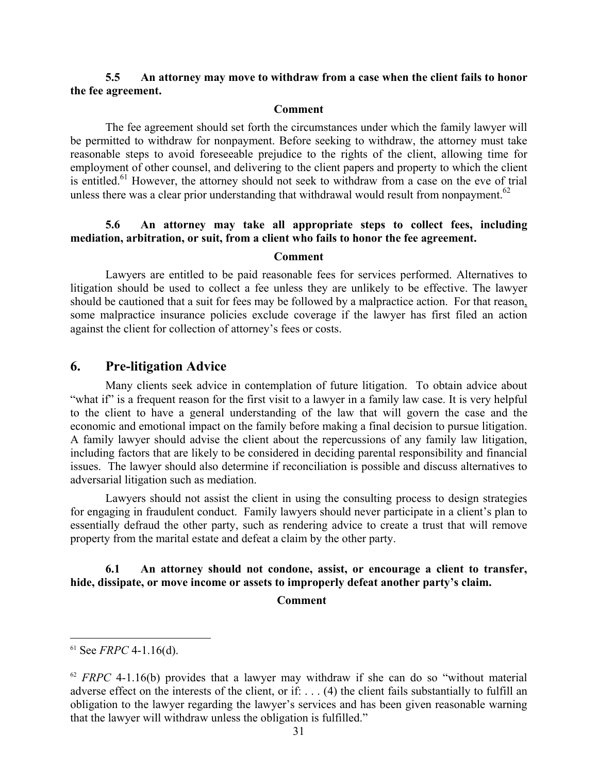# **5.5 An attorney may move to withdraw from a case when the client fails to honor the fee agreement.**

#### **Comment**

The fee agreement should set forth the circumstances under which the family lawyer will be permitted to withdraw for nonpayment. Before seeking to withdraw, the attorney must take reasonable steps to avoid foreseeable prejudice to the rights of the client, allowing time for employment of other counsel, and delivering to the client papers and property to which the client is entitled.<sup>61</sup> However, the attorney should not seek to withdraw from a case on the eve of trial unless there was a clear prior understanding that withdrawal would result from nonpayment.<sup>62</sup>

# **5.6 An attorney may take all appropriate steps to collect fees, including mediation, arbitration, or suit, from a client who fails to honor the fee agreement.**

#### **Comment**

Lawyers are entitled to be paid reasonable fees for services performed. Alternatives to litigation should be used to collect a fee unless they are unlikely to be effective. The lawyer should be cautioned that a suit for fees may be followed by a malpractice action. For that reason, some malpractice insurance policies exclude coverage if the lawyer has first filed an action against the client for collection of attorney's fees or costs.

# **6. Pre-litigation Advice**

Many clients seek advice in contemplation of future litigation. To obtain advice about "what if" is a frequent reason for the first visit to a lawyer in a family law case. It is very helpful to the client to have a general understanding of the law that will govern the case and the economic and emotional impact on the family before making a final decision to pursue litigation. A family lawyer should advise the client about the repercussions of any family law litigation, including factors that are likely to be considered in deciding parental responsibility and financial issues. The lawyer should also determine if reconciliation is possible and discuss alternatives to adversarial litigation such as mediation.

Lawyers should not assist the client in using the consulting process to design strategies for engaging in fraudulent conduct. Family lawyers should never participate in a client's plan to essentially defraud the other party, such as rendering advice to create a trust that will remove property from the marital estate and defeat a claim by the other party.

# **6.1 An attorney should not condone, assist, or encourage a client to transfer, hide, dissipate, or move income or assets to improperly defeat another party's claim.**

#### **Comment**

 $61$  See *FRPC* 4-1.16(d).

 $62$  *FRPC* 4-1.16(b) provides that a lawyer may withdraw if she can do so "without material adverse effect on the interests of the client, or if: . . . (4) the client fails substantially to fulfill an obligation to the lawyer regarding the lawyer's services and has been given reasonable warning that the lawyer will withdraw unless the obligation is fulfilled."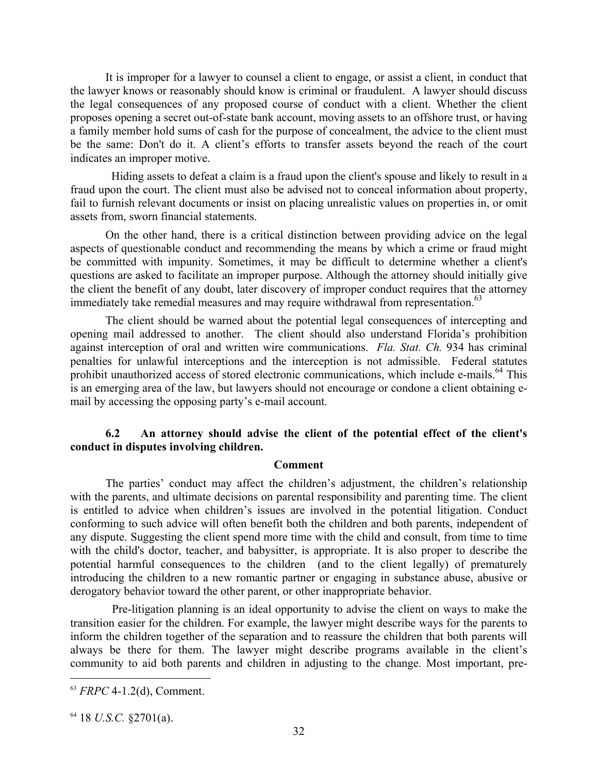It is improper for a lawyer to counsel a client to engage, or assist a client, in conduct that the lawyer knows or reasonably should know is criminal or fraudulent. A lawyer should discuss the legal consequences of any proposed course of conduct with a client. Whether the client proposes opening a secret out-of-state bank account, moving assets to an offshore trust, or having a family member hold sums of cash for the purpose of concealment, the advice to the client must be the same: Don't do it. A client's efforts to transfer assets beyond the reach of the court indicates an improper motive.

 Hiding assets to defeat a claim is a fraud upon the client's spouse and likely to result in a fraud upon the court. The client must also be advised not to conceal information about property, fail to furnish relevant documents or insist on placing unrealistic values on properties in, or omit assets from, sworn financial statements.

 On the other hand, there is a critical distinction between providing advice on the legal aspects of questionable conduct and recommending the means by which a crime or fraud might be committed with impunity. Sometimes, it may be difficult to determine whether a client's questions are asked to facilitate an improper purpose. Although the attorney should initially give the client the benefit of any doubt, later discovery of improper conduct requires that the attorney immediately take remedial measures and may require withdrawal from representation.<sup>63</sup>

 The client should be warned about the potential legal consequences of intercepting and opening mail addressed to another. The client should also understand Florida's prohibition against interception of oral and written wire communications. *Fla. Stat. Ch.* 934 has criminal penalties for unlawful interceptions and the interception is not admissible. Federal statutes prohibit unauthorized access of stored electronic communications, which include e-mails.<sup>64</sup> This is an emerging area of the law, but lawyers should not encourage or condone a client obtaining email by accessing the opposing party's e-mail account.

# **6.2 An attorney should advise the client of the potential effect of the client's conduct in disputes involving children.**

#### **Comment**

The parties' conduct may affect the children's adjustment, the children's relationship with the parents, and ultimate decisions on parental responsibility and parenting time. The client is entitled to advice when children's issues are involved in the potential litigation. Conduct conforming to such advice will often benefit both the children and both parents, independent of any dispute. Suggesting the client spend more time with the child and consult, from time to time with the child's doctor, teacher, and babysitter, is appropriate. It is also proper to describe the potential harmful consequences to the children (and to the client legally) of prematurely introducing the children to a new romantic partner or engaging in substance abuse, abusive or derogatory behavior toward the other parent, or other inappropriate behavior.

 Pre-litigation planning is an ideal opportunity to advise the client on ways to make the transition easier for the children. For example, the lawyer might describe ways for the parents to inform the children together of the separation and to reassure the children that both parents will always be there for them. The lawyer might describe programs available in the client's community to aid both parents and children in adjusting to the change. Most important, pre-

<sup>63</sup> *FRPC* 4-1.2(d), Comment.

<sup>64 18</sup> *U.S.C.* §2701(a).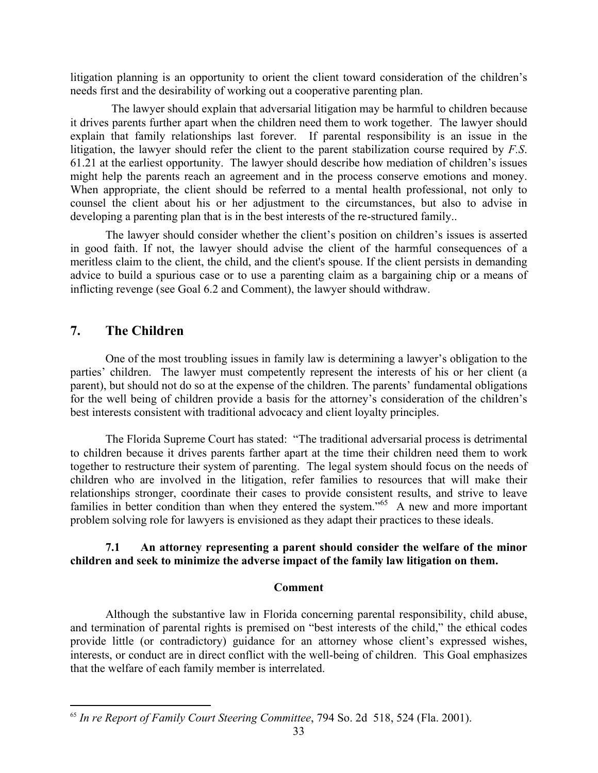litigation planning is an opportunity to orient the client toward consideration of the children's needs first and the desirability of working out a cooperative parenting plan.

 The lawyer should explain that adversarial litigation may be harmful to children because it drives parents further apart when the children need them to work together. The lawyer should explain that family relationships last forever. If parental responsibility is an issue in the litigation, the lawyer should refer the client to the parent stabilization course required by *F.S*. 61.21 at the earliest opportunity. The lawyer should describe how mediation of children's issues might help the parents reach an agreement and in the process conserve emotions and money. When appropriate, the client should be referred to a mental health professional, not only to counsel the client about his or her adjustment to the circumstances, but also to advise in developing a parenting plan that is in the best interests of the re-structured family..

 The lawyer should consider whether the client's position on children's issues is asserted in good faith. If not, the lawyer should advise the client of the harmful consequences of a meritless claim to the client, the child, and the client's spouse. If the client persists in demanding advice to build a spurious case or to use a parenting claim as a bargaining chip or a means of inflicting revenge (see Goal 6.2 and Comment), the lawyer should withdraw.

# **7. The Children**

 $\overline{a}$ 

One of the most troubling issues in family law is determining a lawyer's obligation to the parties' children. The lawyer must competently represent the interests of his or her client (a parent), but should not do so at the expense of the children. The parents' fundamental obligations for the well being of children provide a basis for the attorney's consideration of the children's best interests consistent with traditional advocacy and client loyalty principles.

The Florida Supreme Court has stated: "The traditional adversarial process is detrimental to children because it drives parents farther apart at the time their children need them to work together to restructure their system of parenting. The legal system should focus on the needs of children who are involved in the litigation, refer families to resources that will make their relationships stronger, coordinate their cases to provide consistent results, and strive to leave families in better condition than when they entered the system."<sup>65</sup> A new and more important problem solving role for lawyers is envisioned as they adapt their practices to these ideals.

# **7.1 An attorney representing a parent should consider the welfare of the minor children and seek to minimize the adverse impact of the family law litigation on them.**

# **Comment**

Although the substantive law in Florida concerning parental responsibility, child abuse, and termination of parental rights is premised on "best interests of the child," the ethical codes provide little (or contradictory) guidance for an attorney whose client's expressed wishes, interests, or conduct are in direct conflict with the well-being of children. This Goal emphasizes that the welfare of each family member is interrelated.

<sup>65</sup> *In re Report of Family Court Steering Committee*, 794 So. 2d 518, 524 (Fla. 2001).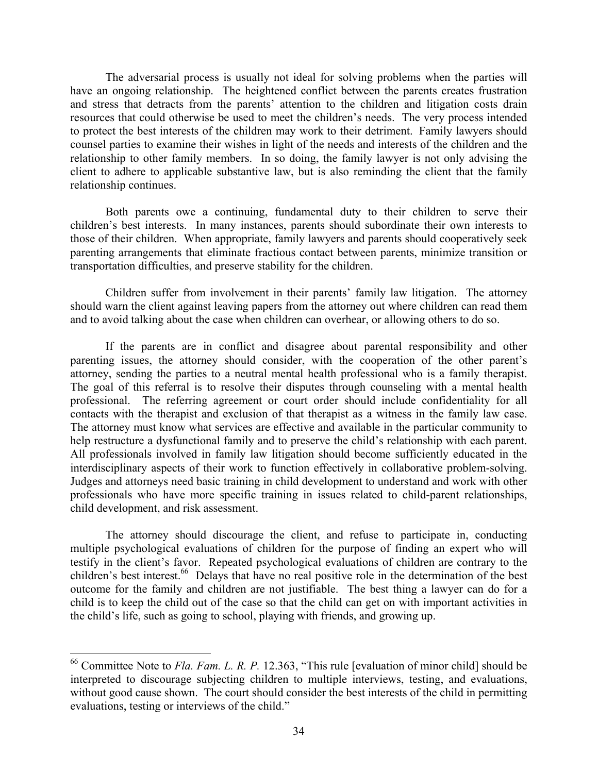The adversarial process is usually not ideal for solving problems when the parties will have an ongoing relationship. The heightened conflict between the parents creates frustration and stress that detracts from the parents' attention to the children and litigation costs drain resources that could otherwise be used to meet the children's needs. The very process intended to protect the best interests of the children may work to their detriment. Family lawyers should counsel parties to examine their wishes in light of the needs and interests of the children and the relationship to other family members. In so doing, the family lawyer is not only advising the client to adhere to applicable substantive law, but is also reminding the client that the family relationship continues.

Both parents owe a continuing, fundamental duty to their children to serve their children's best interests. In many instances, parents should subordinate their own interests to those of their children. When appropriate, family lawyers and parents should cooperatively seek parenting arrangements that eliminate fractious contact between parents, minimize transition or transportation difficulties, and preserve stability for the children.

Children suffer from involvement in their parents' family law litigation. The attorney should warn the client against leaving papers from the attorney out where children can read them and to avoid talking about the case when children can overhear, or allowing others to do so.

If the parents are in conflict and disagree about parental responsibility and other parenting issues, the attorney should consider, with the cooperation of the other parent's attorney, sending the parties to a neutral mental health professional who is a family therapist. The goal of this referral is to resolve their disputes through counseling with a mental health professional. The referring agreement or court order should include confidentiality for all contacts with the therapist and exclusion of that therapist as a witness in the family law case. The attorney must know what services are effective and available in the particular community to help restructure a dysfunctional family and to preserve the child's relationship with each parent. All professionals involved in family law litigation should become sufficiently educated in the interdisciplinary aspects of their work to function effectively in collaborative problem-solving. Judges and attorneys need basic training in child development to understand and work with other professionals who have more specific training in issues related to child-parent relationships, child development, and risk assessment.

The attorney should discourage the client, and refuse to participate in, conducting multiple psychological evaluations of children for the purpose of finding an expert who will testify in the client's favor. Repeated psychological evaluations of children are contrary to the children's best interest.<sup>66</sup> Delays that have no real positive role in the determination of the best outcome for the family and children are not justifiable. The best thing a lawyer can do for a child is to keep the child out of the case so that the child can get on with important activities in the child's life, such as going to school, playing with friends, and growing up.

<sup>66</sup> Committee Note to *Fla. Fam. L. R. P.* 12.363, "This rule [evaluation of minor child] should be interpreted to discourage subjecting children to multiple interviews, testing, and evaluations, without good cause shown. The court should consider the best interests of the child in permitting evaluations, testing or interviews of the child."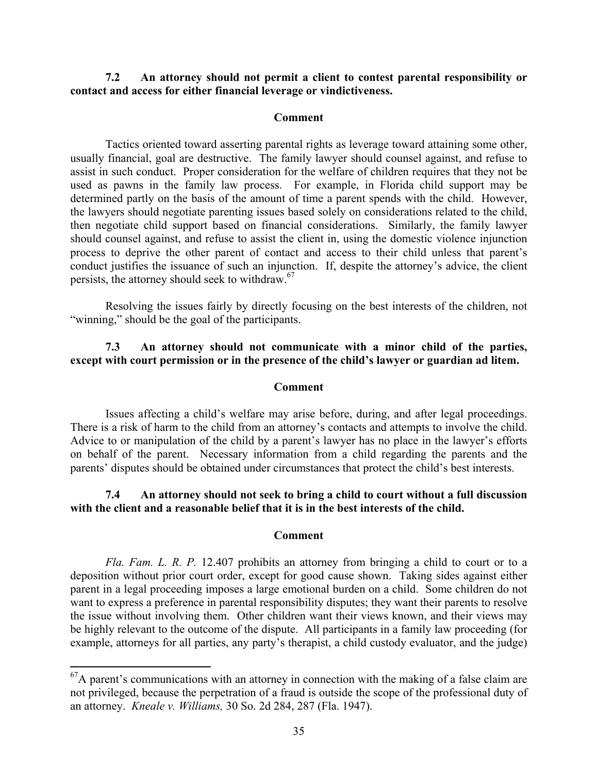# **7.2 An attorney should not permit a client to contest parental responsibility or contact and access for either financial leverage or vindictiveness.**

#### **Comment**

Tactics oriented toward asserting parental rights as leverage toward attaining some other, usually financial, goal are destructive. The family lawyer should counsel against, and refuse to assist in such conduct. Proper consideration for the welfare of children requires that they not be used as pawns in the family law process. For example, in Florida child support may be determined partly on the basis of the amount of time a parent spends with the child. However, the lawyers should negotiate parenting issues based solely on considerations related to the child, then negotiate child support based on financial considerations. Similarly, the family lawyer should counsel against, and refuse to assist the client in, using the domestic violence injunction process to deprive the other parent of contact and access to their child unless that parent's conduct justifies the issuance of such an injunction. If, despite the attorney's advice, the client persists, the attorney should seek to withdraw.<sup>67</sup>

Resolving the issues fairly by directly focusing on the best interests of the children, not "winning," should be the goal of the participants.

# **7.3 An attorney should not communicate with a minor child of the parties, except with court permission or in the presence of the child's lawyer or guardian ad litem.**

#### **Comment**

Issues affecting a child's welfare may arise before, during, and after legal proceedings. There is a risk of harm to the child from an attorney's contacts and attempts to involve the child. Advice to or manipulation of the child by a parent's lawyer has no place in the lawyer's efforts on behalf of the parent. Necessary information from a child regarding the parents and the parents' disputes should be obtained under circumstances that protect the child's best interests.

# **7.4 An attorney should not seek to bring a child to court without a full discussion with the client and a reasonable belief that it is in the best interests of the child.**

#### **Comment**

*Fla. Fam. L. R. P.* 12.407 prohibits an attorney from bringing a child to court or to a deposition without prior court order, except for good cause shown. Taking sides against either parent in a legal proceeding imposes a large emotional burden on a child. Some children do not want to express a preference in parental responsibility disputes; they want their parents to resolve the issue without involving them. Other children want their views known, and their views may be highly relevant to the outcome of the dispute. All participants in a family law proceeding (for example, attorneys for all parties, any party's therapist, a child custody evaluator, and the judge)

 ${}^{67}$ A parent's communications with an attorney in connection with the making of a false claim are not privileged, because the perpetration of a fraud is outside the scope of the professional duty of an attorney. *Kneale v. Williams,* 30 So. 2d 284, 287 (Fla. 1947).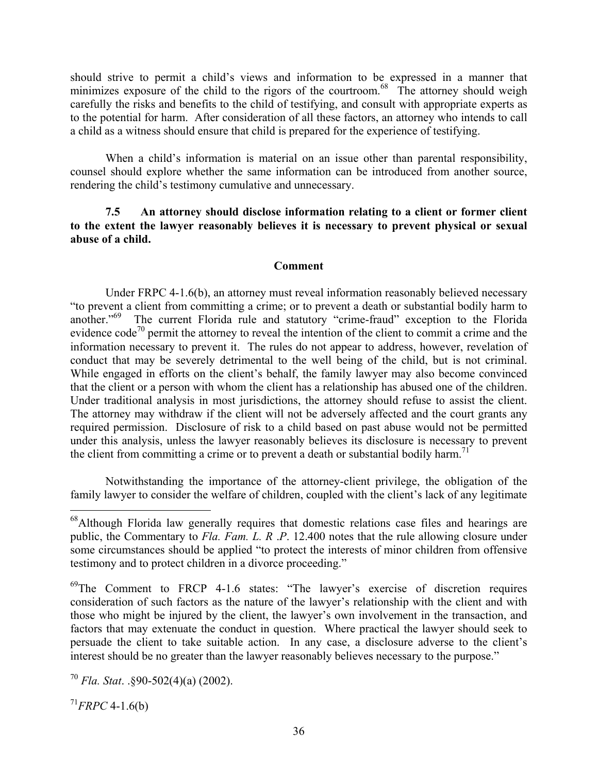should strive to permit a child's views and information to be expressed in a manner that minimizes exposure of the child to the rigors of the courtroom.<sup>68</sup> The attorney should weigh carefully the risks and benefits to the child of testifying, and consult with appropriate experts as to the potential for harm. After consideration of all these factors, an attorney who intends to call a child as a witness should ensure that child is prepared for the experience of testifying.

When a child's information is material on an issue other than parental responsibility, counsel should explore whether the same information can be introduced from another source, rendering the child's testimony cumulative and unnecessary.

# **7.5 An attorney should disclose information relating to a client or former client to the extent the lawyer reasonably believes it is necessary to prevent physical or sexual abuse of a child.**

# **Comment**

Under FRPC 4-1.6(b), an attorney must reveal information reasonably believed necessary "to prevent a client from committing a crime; or to prevent a death or substantial bodily harm to another."69 The current Florida rule and statutory "crime-fraud" exception to the Florida evidence  $\text{code}^{70}$  permit the attorney to reveal the intention of the client to commit a crime and the information necessary to prevent it. The rules do not appear to address, however, revelation of conduct that may be severely detrimental to the well being of the child, but is not criminal. While engaged in efforts on the client's behalf, the family lawyer may also become convinced that the client or a person with whom the client has a relationship has abused one of the children. Under traditional analysis in most jurisdictions, the attorney should refuse to assist the client. The attorney may withdraw if the client will not be adversely affected and the court grants any required permission. Disclosure of risk to a child based on past abuse would not be permitted under this analysis, unless the lawyer reasonably believes its disclosure is necessary to prevent the client from committing a crime or to prevent a death or substantial bodily harm.<sup>71</sup>

Notwithstanding the importance of the attorney-client privilege, the obligation of the family lawyer to consider the welfare of children, coupled with the client's lack of any legitimate

 $^{71}$ *FRPC* 4-1.6(b)

 $68$ Although Florida law generally requires that domestic relations case files and hearings are public, the Commentary to *Fla. Fam. L. R* .*P*. 12.400 notes that the rule allowing closure under some circumstances should be applied "to protect the interests of minor children from offensive testimony and to protect children in a divorce proceeding."

<sup>&</sup>lt;sup>69</sup>The Comment to FRCP 4-1.6 states: "The lawyer's exercise of discretion requires consideration of such factors as the nature of the lawyer's relationship with the client and with those who might be injured by the client, the lawyer's own involvement in the transaction, and factors that may extenuate the conduct in question. Where practical the lawyer should seek to persuade the client to take suitable action. In any case, a disclosure adverse to the client's interest should be no greater than the lawyer reasonably believes necessary to the purpose."

<sup>70</sup> *Fla. Stat*. .§90-502(4)(a) (2002).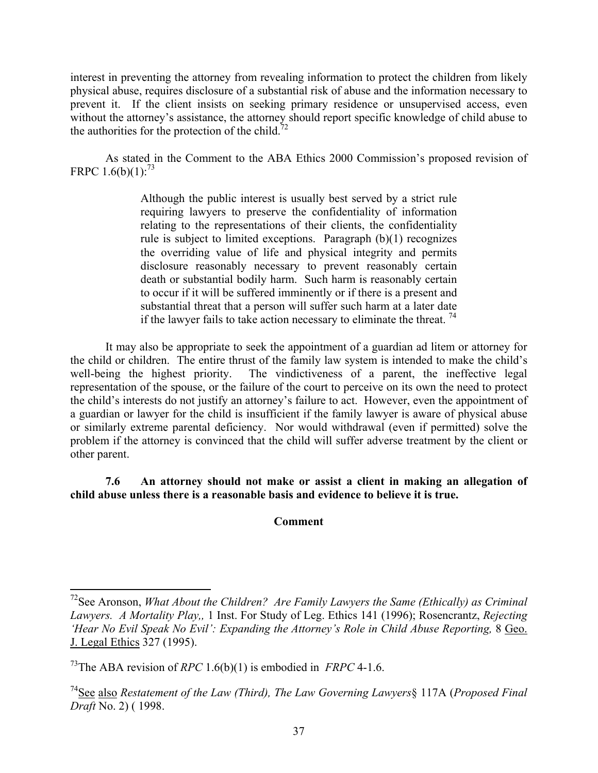interest in preventing the attorney from revealing information to protect the children from likely physical abuse, requires disclosure of a substantial risk of abuse and the information necessary to prevent it. If the client insists on seeking primary residence or unsupervised access, even without the attorney's assistance, the attorney should report specific knowledge of child abuse to the authorities for the protection of the child.<sup>72</sup>

As stated in the Comment to the ABA Ethics 2000 Commission's proposed revision of FRPC  $1.6(b)(1)$ :<sup>73</sup>

> Although the public interest is usually best served by a strict rule requiring lawyers to preserve the confidentiality of information relating to the representations of their clients, the confidentiality rule is subject to limited exceptions. Paragraph (b)(1) recognizes the overriding value of life and physical integrity and permits disclosure reasonably necessary to prevent reasonably certain death or substantial bodily harm. Such harm is reasonably certain to occur if it will be suffered imminently or if there is a present and substantial threat that a person will suffer such harm at a later date if the lawyer fails to take action necessary to eliminate the threat.  $^{74}$

It may also be appropriate to seek the appointment of a guardian ad litem or attorney for the child or children. The entire thrust of the family law system is intended to make the child's well-being the highest priority. The vindictiveness of a parent, the ineffective legal representation of the spouse, or the failure of the court to perceive on its own the need to protect the child's interests do not justify an attorney's failure to act. However, even the appointment of a guardian or lawyer for the child is insufficient if the family lawyer is aware of physical abuse or similarly extreme parental deficiency. Nor would withdrawal (even if permitted) solve the problem if the attorney is convinced that the child will suffer adverse treatment by the client or other parent.

**7.6 An attorney should not make or assist a client in making an allegation of child abuse unless there is a reasonable basis and evidence to believe it is true.** 

# **Comment**

<sup>72</sup>See Aronson, *What About the Children? Are Family Lawyers the Same (Ethically) as Criminal Lawyers. A Mortality Play,,* 1 Inst. For Study of Leg. Ethics 141 (1996); Rosencrantz, *Rejecting 'Hear No Evil Speak No Evil': Expanding the Attorney's Role in Child Abuse Reporting,* 8 Geo. J. Legal Ethics 327 (1995).

<sup>73</sup>The ABA revision of *RPC* 1.6(b)(1) is embodied in *FRPC* 4-1.6.

<sup>74</sup>See also *Restatement of the Law (Third), The Law Governing Lawyers*§ 117A (*Proposed Final Draft* No. 2) ( 1998.